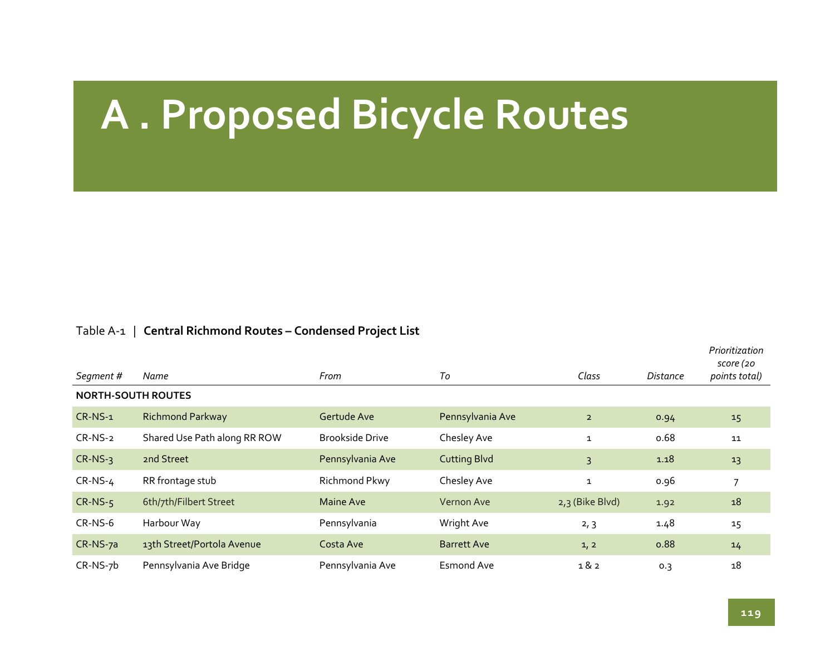# **A . Proposed Bicycle Routes**

## Table <sup>A</sup>‐<sup>1</sup> | **Central Richmond Routes – Condensed Project List**

| Segment #  | Name                         | From                   | To                  | Class           | Distance | Prioritization<br>score (20<br>points total) |
|------------|------------------------------|------------------------|---------------------|-----------------|----------|----------------------------------------------|
|            | <b>NORTH-SOUTH ROUTES</b>    |                        |                     |                 |          |                                              |
| $CR-NS-1$  | <b>Richmond Parkway</b>      | Gertude Ave            | Pennsylvania Ave    | $\overline{2}$  | 0.94     | 15                                           |
| $CR-NS-2$  | Shared Use Path along RR ROW | <b>Brookside Drive</b> | Chesley Ave         | $\mathbf{1}$    | 0.68     | 11                                           |
| $CR-NS-3$  | 2nd Street                   | Pennsylvania Ave       | <b>Cutting Blvd</b> | 3               | 1.18     | 13                                           |
| $CR-NS-4$  | RR frontage stub             | Richmond Pkwy          | Chesley Ave         | $\mathbf{1}$    | 0.96     |                                              |
| $CR-NS-5$  | 6th/7th/Filbert Street       | Maine Ave              | <b>Vernon Ave</b>   | 2,3 (Bike Blvd) | 1.92     | 18                                           |
| $CR-NS-6$  | Harbour Way                  | Pennsylvania           | Wright Ave          | 2, 3            | 1.48     | 15                                           |
| CR-NS-7a   | 13th Street/Portola Avenue   | Costa Ave              | <b>Barrett Ave</b>  | 1, 2            | 0.88     | 14                                           |
| $CR-NS-7b$ | Pennsylvania Ave Bridge      | Pennsylvania Ave       | <b>Esmond Ave</b>   | 1&2             | 0.3      | 18                                           |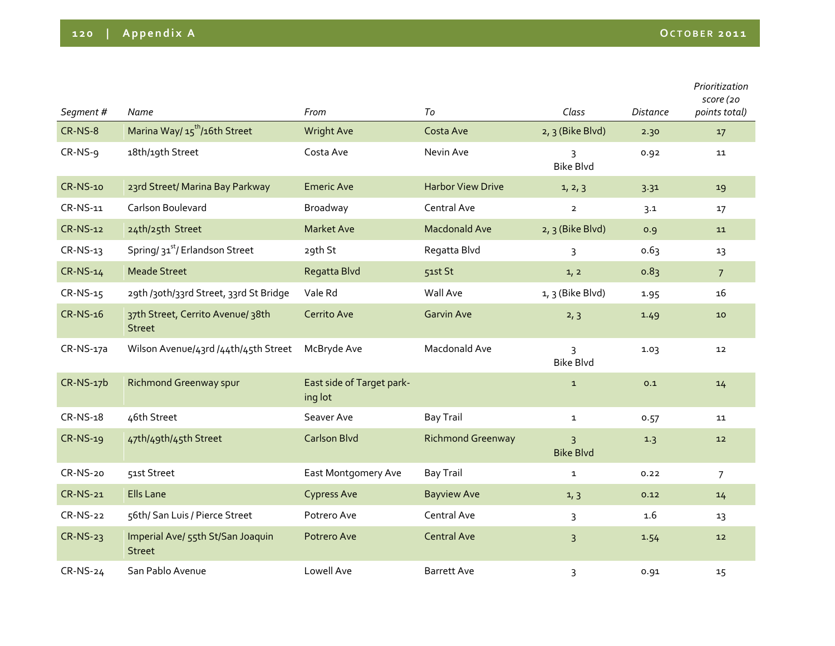| Segment#        | Name                                               | From                                 | To                       | Class                              | <b>Distance</b> | Prioritization<br>score (20<br>points total) |
|-----------------|----------------------------------------------------|--------------------------------------|--------------------------|------------------------------------|-----------------|----------------------------------------------|
|                 |                                                    |                                      |                          |                                    |                 |                                              |
| CR-NS-8         | Marina Way/ 15 <sup>th</sup> /16th Street          | <b>Wright Ave</b>                    | Costa Ave                | 2, 3 (Bike Blvd)                   | 2.30            | 17                                           |
| CR-NS-9         | 18th/19th Street                                   | Costa Ave                            | Nevin Ave                | 3<br><b>Bike Blvd</b>              | 0.92            | 11                                           |
| CR-NS-10        | 23rd Street/ Marina Bay Parkway                    | <b>Emeric Ave</b>                    | <b>Harbor View Drive</b> | 1, 2, 3                            | 3.31            | 19                                           |
| CR-NS-11        | Carlson Boulevard                                  | Broadway                             | Central Ave              | $\overline{2}$                     | 3.1             | 17                                           |
| <b>CR-NS-12</b> | 24th/25th Street                                   | <b>Market Ave</b>                    | <b>Macdonald Ave</b>     | 2, 3 (Bike Blvd)                   | 0.9             | 11                                           |
| CR-NS-13        | Spring/ 31 <sup>st</sup> / Erlandson Street        | 29th St                              | Regatta Blvd             | $\overline{3}$                     | 0.63            | 13                                           |
| CR-NS-14        | <b>Meade Street</b>                                | Regatta Blvd                         | 51st St                  | 1, 2                               | 0.83            | 7 <sup>7</sup>                               |
| CR-NS-15        | 29th /30th/33rd Street, 33rd St Bridge             | Vale Rd                              | Wall Ave                 | $1, 3$ (Bike Blvd)                 | 1.95            | 16                                           |
| CR-NS-16        | 37th Street, Cerrito Avenue/ 38th<br><b>Street</b> | Cerrito Ave                          | <b>Garvin Ave</b>        | 2, 3                               | 1.49            | 10                                           |
| CR-NS-17a       | Wilson Avenue/43rd /44th/45th Street               | McBryde Ave                          | Macdonald Ave            | $\overline{3}$<br><b>Bike Blvd</b> | 1.03            | 12                                           |
| $CR-NS-17b$     | <b>Richmond Greenway spur</b>                      | East side of Target park-<br>ing lot |                          | $\mathbf{1}$                       | 0.1             | 14                                           |
| CR-NS-18        | 46th Street                                        | Seaver Ave                           | <b>Bay Trail</b>         | $\mathbf 1$                        | 0.57            | 11                                           |
| CR-NS-19        | 47th/49th/45th Street                              | <b>Carlson Blvd</b>                  | <b>Richmond Greenway</b> | $\overline{3}$<br><b>Bike Blvd</b> | 1.3             | 12                                           |
| CR-NS-20        | 51st Street                                        | East Montgomery Ave                  | <b>Bay Trail</b>         | $\mathbf{1}$                       | 0.22            | $\overline{7}$                               |
| <b>CR-NS-21</b> | <b>Ells Lane</b>                                   | <b>Cypress Ave</b>                   | <b>Bayview Ave</b>       | 1, 3                               | 0.12            | 14                                           |
| <b>CR-NS-22</b> | 56th/ San Luis / Pierce Street                     | Potrero Ave                          | Central Ave              | 3                                  | 1.6             | 13                                           |
| $CR-NS-23$      | Imperial Ave/ 55th St/San Joaquin<br><b>Street</b> | Potrero Ave                          | <b>Central Ave</b>       | $\overline{3}$                     | 1.54            | 12                                           |
| CR-NS-24        | San Pablo Avenue                                   | Lowell Ave                           | <b>Barrett Ave</b>       | $\overline{3}$                     | 0.91            | 15                                           |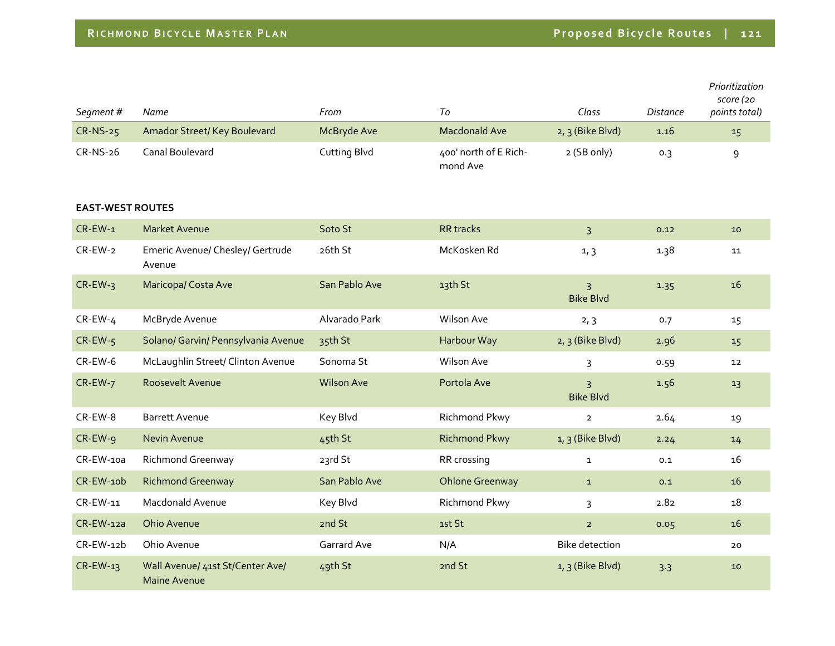| Segment #               | <b>Name</b>                                      | From              | To                                | Class                              | <b>Distance</b> | Prioritization<br>score (20<br>points total) |
|-------------------------|--------------------------------------------------|-------------------|-----------------------------------|------------------------------------|-----------------|----------------------------------------------|
| CR-NS-25                | Amador Street/ Key Boulevard                     | McBryde Ave       | <b>Macdonald Ave</b>              | 2, 3 (Bike Blvd)                   | 1.16            | 15                                           |
| CR-NS-26                | Canal Boulevard                                  | Cutting Blvd      | 400' north of E Rich-<br>mond Ave | 2 (SB only)                        | 0.3             | 9                                            |
| <b>EAST-WEST ROUTES</b> |                                                  |                   |                                   |                                    |                 |                                              |
| $CR$ -EW-1              | <b>Market Avenue</b>                             | Soto St           | RR tracks                         | $\overline{3}$                     | 0.12            | 10 <sup>°</sup>                              |
| $CR$ -EW-2              | Emeric Avenue/ Chesley/ Gertrude<br>Avenue       | 26th St           | McKosken Rd                       | 1, 3                               | 1.38            | 11                                           |
| $CR$ -EW-3              | <b>Maricopa/Costa Ave</b>                        | San Pablo Ave     | 13th St                           | $\overline{3}$<br><b>Bike Blvd</b> | 1.35            | 16                                           |
| $CR$ -EW-4              | McBryde Avenue                                   | Alvarado Park     | Wilson Ave                        | 2, 3                               | 0.7             | 15                                           |
| $CR$ -EW- $5$           | Solano/ Garvin/ Pennsylvania Avenue              | 35th St           | Harbour Way                       | $2, 3$ (Bike Blvd)                 | 2.96            | 15                                           |
| $CR$ -EW-6              | McLaughlin Street/ Clinton Avenue                | Sonoma St         | Wilson Ave                        | $\overline{3}$                     | 0.59            | 12 <sub>2</sub>                              |
| CR-EW-7                 | Roosevelt Avenue                                 | <b>Wilson Ave</b> | Portola Ave                       | $\overline{3}$<br><b>Bike Blvd</b> | 1.56            | 13                                           |
| CR-EW-8                 | <b>Barrett Avenue</b>                            | Key Blvd          | Richmond Pkwy                     | $\overline{2}$                     | 2.64            | 19                                           |
| $CR$ -EW-9              | <b>Nevin Avenue</b>                              | 45th St           | <b>Richmond Pkwy</b>              | $1, 3$ (Bike Blvd)                 | 2.24            | 14                                           |
| CR-EW-10a               | Richmond Greenway                                | 23rd St           | RR crossing                       | $\mathbf{1}$                       | 0.1             | 16                                           |
| CR-EW-10b               | <b>Richmond Greenway</b>                         | San Pablo Ave     | <b>Ohlone Greenway</b>            | $\mathbf{1}$                       | 0.1             | 16                                           |
| CR-EW-11                | Macdonald Avenue                                 | Key Blvd          | Richmond Pkwy                     | 3                                  | 2.82            | 18                                           |
| $CR$ -EW-12a            | Ohio Avenue                                      | 2nd St            | 1st St                            | $\overline{2}$                     | 0.05            | 16                                           |
| $CR$ -EW-12 $b$         | Ohio Avenue                                      | Garrard Ave       | N/A                               | <b>Bike detection</b>              |                 | 20                                           |
| $CR$ -EW-13             | Wall Avenue/ 41st St/Center Ave/<br>Maine Avenue | 49th St           | 2nd St                            | $1, 3$ (Bike Blvd)                 | 3.3             | 10                                           |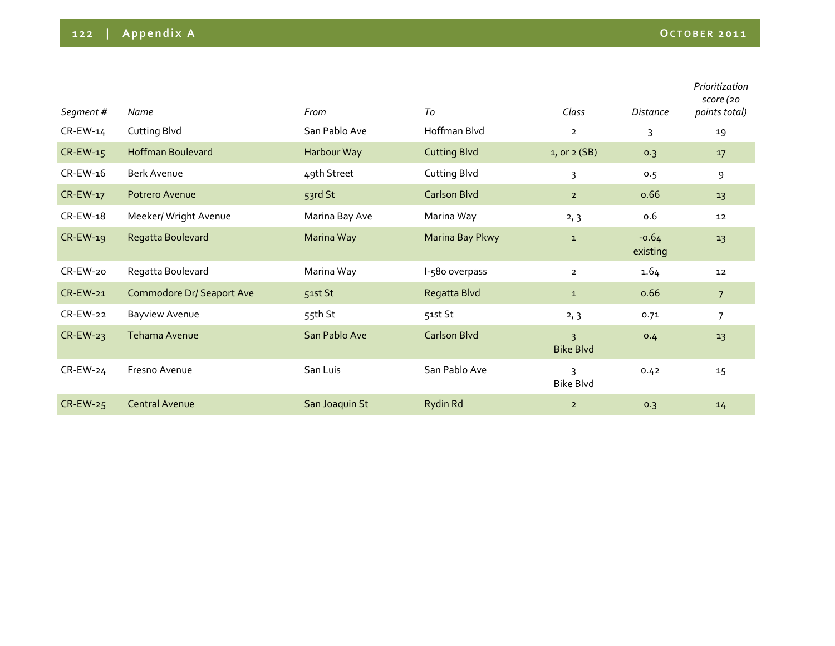| Segment#    | Name                             | From           | To                  | Class                                       | Distance            | Prioritization<br>score (20<br>points total) |
|-------------|----------------------------------|----------------|---------------------|---------------------------------------------|---------------------|----------------------------------------------|
| $CR$ -EW-14 | Cutting Blvd                     | San Pablo Ave  | Hoffman Blvd        | $\overline{2}$                              | 3                   | 19                                           |
| $CR$ -EW-15 | <b>Hoffman Boulevard</b>         | Harbour Way    | <b>Cutting Blvd</b> | $1,$ or $2(SB)$                             | 0.3                 | 17                                           |
| $CR$ -EW-16 | <b>Berk Avenue</b>               | 49th Street    | Cutting Blvd        | 3                                           | 0.5                 | 9                                            |
| CR-EW-17    | Potrero Avenue                   | 53rd St        | Carlson Blvd        | $\overline{2}$                              | 0.66                | 13                                           |
| CR-EW-18    | Meeker/ Wright Avenue            | Marina Bay Ave | Marina Way          | 2, 3                                        | 0.6                 | 12                                           |
| $CR$ -EW-19 | Regatta Boulevard                | Marina Way     | Marina Bay Pkwy     | $\mathbf{1}$                                | $-0.64$<br>existing | 13                                           |
| CR-EW-20    | Regatta Boulevard                | Marina Way     | I-580 overpass      | $\overline{2}$                              | 1.64                | 12                                           |
| $CR$ -EW-21 | <b>Commodore Dr/ Seaport Ave</b> | 51st St        | Regatta Blvd        | $\mathbf{1}$                                | 0.66                | 7 <sup>2</sup>                               |
| $CR$ -EW-22 | <b>Bayview Avenue</b>            | 55th St        | 51st St             | 2, 3                                        | 0.71                | $\overline{7}$                               |
| $CR$ -EW-23 | Tehama Avenue                    | San Pablo Ave  | <b>Carlson Blvd</b> | $\overline{3}$<br><b>Bike Blvd</b>          | 0.4                 | 13                                           |
| $CR$ -EW-24 | Fresno Avenue                    | San Luis       | San Pablo Ave       | $\overline{\mathbf{z}}$<br><b>Bike Blvd</b> | 0.42                | 15                                           |
| $CR$ -EW-25 | <b>Central Avenue</b>            | San Joaquin St | Rydin Rd            | $\overline{2}$                              | 0.3                 | 14                                           |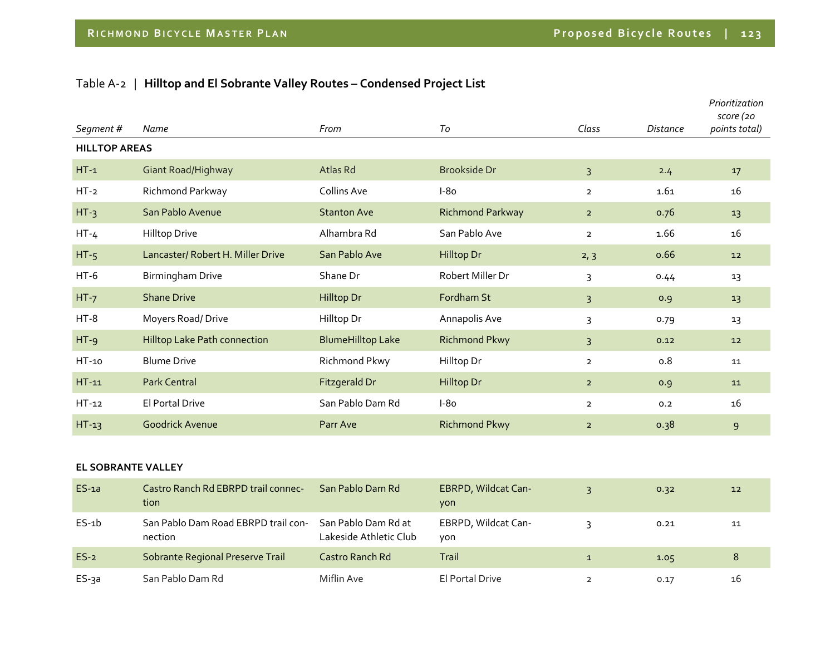## Table A‐<sup>2</sup> | **Hilltop and El Sobrante Valley Routes – Condensed Project List**

| Segment#                  | Name                                   | From                     | To                      | Class          | <b>Distance</b> | Prioritization<br>score (20<br>points total) |
|---------------------------|----------------------------------------|--------------------------|-------------------------|----------------|-----------------|----------------------------------------------|
| <b>HILLTOP AREAS</b>      |                                        |                          |                         |                |                 |                                              |
| $HT-1$                    | Giant Road/Highway                     | Atlas Rd                 | <b>Brookside Dr</b>     | $\overline{3}$ | 2.4             | 17                                           |
| $HT-2$                    | Richmond Parkway                       | Collins Ave              | $I-80$                  | $\overline{2}$ | 1.61            | 16                                           |
| $HT-3$                    | San Pablo Avenue                       | <b>Stanton Ave</b>       | <b>Richmond Parkway</b> | $\overline{2}$ | 0.76            | 13                                           |
| $HT-4$                    | <b>Hilltop Drive</b>                   | Alhambra Rd              | San Pablo Ave           | $\overline{2}$ | 1.66            | 16                                           |
| $HT-5$                    | Lancaster/ Robert H. Miller Drive      | San Pablo Ave            | Hilltop Dr              | 2, 3           | 0.66            | 12                                           |
| $HT-6$                    | Birmingham Drive                       | Shane Dr                 | Robert Miller Dr        | 3              | 0.44            | 13                                           |
| $HT-7$                    | <b>Shane Drive</b>                     | Hilltop Dr               | Fordham St              | 3              | 0.9             | 13                                           |
| $HT-8$                    | Moyers Road/Drive                      | Hilltop Dr               | Annapolis Ave           | 3              | 0.79            | 13                                           |
| $HT - 9$                  | Hilltop Lake Path connection           | <b>BlumeHilltop Lake</b> | <b>Richmond Pkwy</b>    | $\overline{3}$ | 0.12            | 12                                           |
| HT-10                     | <b>Blume Drive</b>                     | Richmond Pkwy            | Hilltop Dr              | $\overline{2}$ | 0.8             | 11                                           |
| $HT-11$                   | <b>Park Central</b>                    | Fitzgerald Dr            | Hilltop Dr              | $\overline{2}$ | 0.9             | 11                                           |
| $HT-12$                   | El Portal Drive                        | San Pablo Dam Rd         | $I-80$                  | $\overline{2}$ | 0.2             | 16                                           |
| $HT-13$                   | <b>Goodrick Avenue</b>                 | Parr Ave                 | <b>Richmond Pkwy</b>    | $\overline{2}$ | 0.38            | 9                                            |
|                           |                                        |                          |                         |                |                 |                                              |
| <b>EL SOBRANTE VALLEY</b> |                                        |                          |                         |                |                 |                                              |
| $FC-12$                   | Castro Ranch Rd ERRRD trail connection | San Pahlo Dam Pd         | $F$ RDDD Wildcat $C$ an | $\sim$ $\sim$  | 0.22            | $\mathbf{1}$                                 |

| $ES$ -1a | Castro Ranch Rd EBRPD trail connec-<br>tion    | San Pablo Dam Rd                              | <b>EBRPD, Wildcat Can-</b><br>yon | 0.32 | 12 |
|----------|------------------------------------------------|-----------------------------------------------|-----------------------------------|------|----|
| $ES-1b$  | San Pablo Dam Road EBRPD trail con-<br>nection | San Pablo Dam Rd at<br>Lakeside Athletic Club | EBRPD, Wildcat Can-<br>von        | 0.21 | 11 |
| $ES-2$   | Sobrante Regional Preserve Trail               | Castro Ranch Rd                               | Trail                             | 1.05 | 8  |
| ES-3a    | San Pablo Dam Rd                               | Miflin Ave                                    | El Portal Drive                   | 0.17 | 16 |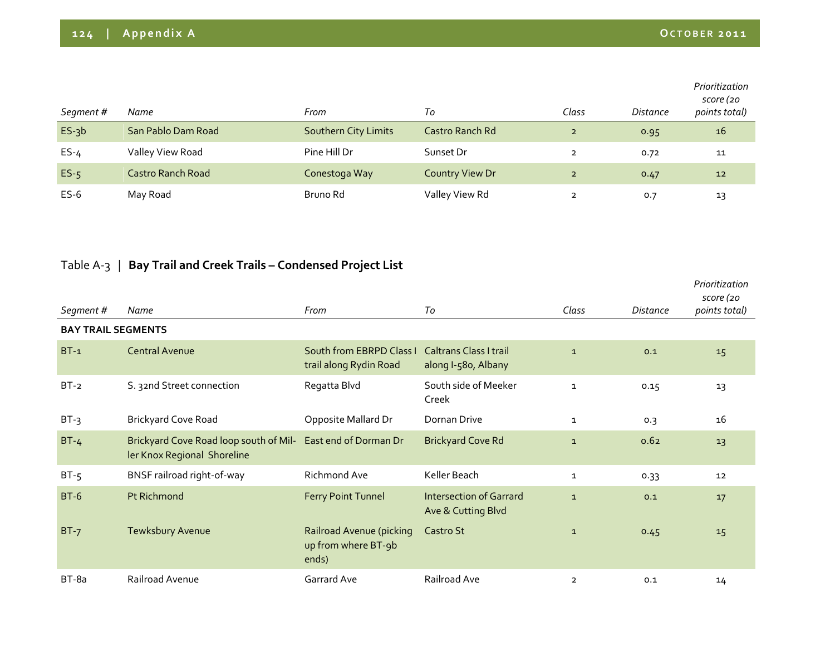| Segment # | Name                     | From                 | Тo                     | Class          | Distance | Prioritization<br>score (20<br>points total) |
|-----------|--------------------------|----------------------|------------------------|----------------|----------|----------------------------------------------|
| $ES-3b$   | San Pablo Dam Road       | Southern City Limits | Castro Ranch Rd        | $\overline{2}$ | 0.95     | 16                                           |
| $ES-4$    | Valley View Road         | Pine Hill Dr         | Sunset Dr              | $\overline{2}$ | 0.72     | 11                                           |
| $ES-5$    | <b>Castro Ranch Road</b> | Conestoga Way        | <b>Country View Dr</b> | $\overline{2}$ | 0.47     | 12                                           |
| $ES-6$    | May Road                 | Bruno Rd             | Valley View Rd         | $\overline{2}$ | 0.7      | 13                                           |

## Table <sup>A</sup>‐3 | **Bay Trail and Creek Trails – Condensed Project List**

| Segment #                 | Name                                                                  | From                                                     | To                                                   | Class          | Distance | Prioritization<br>score (20<br>points total) |
|---------------------------|-----------------------------------------------------------------------|----------------------------------------------------------|------------------------------------------------------|----------------|----------|----------------------------------------------|
| <b>BAY TRAIL SEGMENTS</b> |                                                                       |                                                          |                                                      |                |          |                                              |
| $BT-1$                    | <b>Central Avenue</b>                                                 | South from EBRPD Class I<br>trail along Rydin Road       | <b>Caltrans Class I trail</b><br>along I-580, Albany | $\mathbf{1}$   | 0.1      | 15                                           |
| $BT-2$                    | S. 32nd Street connection                                             | Regatta Blvd                                             | South side of Meeker<br>Creek                        | $\mathbf{1}$   | 0.15     | 13                                           |
| $BT-3$                    | <b>Brickyard Cove Road</b>                                            | Opposite Mallard Dr                                      | Dornan Drive                                         | $\mathbf{1}$   | 0.3      | 16                                           |
| $BT-4$                    | Brickyard Cove Road loop south of Mil-<br>ler Knox Regional Shoreline | East end of Dorman Dr                                    | <b>Brickyard Cove Rd</b>                             | $\mathbf{1}$   | 0.62     | 13                                           |
| $BT-5$                    | BNSF railroad right-of-way                                            | Richmond Ave                                             | Keller Beach                                         | $\mathbf{1}$   | 0.33     | 12                                           |
| $BT-6$                    | <b>Pt Richmond</b>                                                    | <b>Ferry Point Tunnel</b>                                | <b>Intersection of Garrard</b><br>Ave & Cutting Blvd | $\mathbf{1}$   | 0.1      | 17                                           |
| $BT-7$                    | Tewksbury Avenue                                                      | Railroad Avenue (picking<br>up from where BT-9b<br>ends) | Castro St                                            | $\mathbf{1}$   | 0.45     | 15                                           |
| $BT-8a$                   | Railroad Avenue                                                       | Garrard Ave                                              | Railroad Ave                                         | $\overline{2}$ | 0.1      | 14                                           |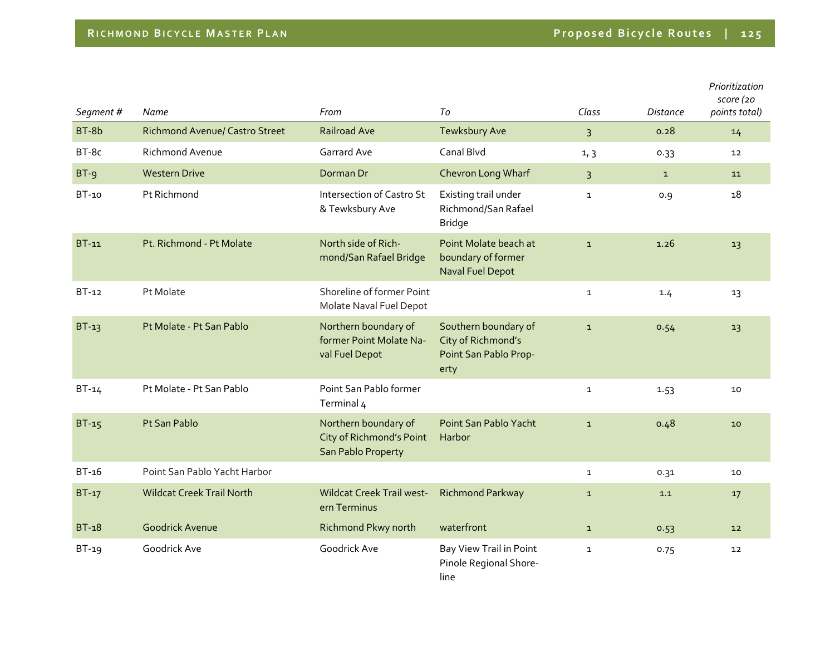| Segment # | Name                                  | From                                                                   | To                                                                          | Class          | <b>Distance</b> | Prioritization<br>score (20<br>points total) |
|-----------|---------------------------------------|------------------------------------------------------------------------|-----------------------------------------------------------------------------|----------------|-----------------|----------------------------------------------|
| BT-8b     | <b>Richmond Avenue/ Castro Street</b> | <b>Railroad Ave</b>                                                    | Tewksbury Ave                                                               | $\overline{3}$ | 0.28            | 14                                           |
| BT-8c     | <b>Richmond Avenue</b>                | <b>Garrard Ave</b>                                                     | Canal Blvd                                                                  | 1, 3           | 0.33            | 12                                           |
| $BT-9$    | <b>Western Drive</b>                  | Dorman Dr                                                              | Chevron Long Wharf                                                          | $\overline{3}$ | $\mathbf{1}$    | 11                                           |
| $BT-10$   | Pt Richmond                           | Intersection of Castro St<br>& Tewksbury Ave                           | Existing trail under<br>Richmond/San Rafael<br><b>Bridge</b>                | $\mathbf{1}$   | 0.9             | 18                                           |
| $BT-11$   | Pt. Richmond - Pt Molate              | North side of Rich-<br>mond/San Rafael Bridge                          | Point Molate beach at<br>boundary of former<br><b>Naval Fuel Depot</b>      | $\mathbf{1}$   | 1.26            | 13                                           |
| BT-12     | Pt Molate                             | Shoreline of former Point<br>Molate Naval Fuel Depot                   |                                                                             | $\mathbf{1}$   | 1.4             | 13                                           |
| $BT-13$   | Pt Molate - Pt San Pablo              | Northern boundary of<br>former Point Molate Na-<br>val Fuel Depot      | Southern boundary of<br>City of Richmond's<br>Point San Pablo Prop-<br>erty | $\mathbf{1}$   | 0.54            | 13                                           |
| $BT-14$   | Pt Molate - Pt San Pablo              | Point San Pablo former<br>Terminal 4                                   |                                                                             | $\mathbf{1}$   | 1.53            | 10                                           |
| $BT-15$   | Pt San Pablo                          | Northern boundary of<br>City of Richmond's Point<br>San Pablo Property | Point San Pablo Yacht<br>Harbor                                             | $\mathbf{1}$   | 0.48            | 10                                           |
| BT-16     | Point San Pablo Yacht Harbor          |                                                                        |                                                                             | $\mathbf{1}$   | 0.31            | 10                                           |
| $BT-17$   | <b>Wildcat Creek Trail North</b>      | <b>Wildcat Creek Trail west-</b><br>ern Terminus                       | <b>Richmond Parkway</b>                                                     | $\mathbf{1}$   | 1.1             | 17                                           |
| $BT-18$   | <b>Goodrick Avenue</b>                | Richmond Pkwy north                                                    | waterfront                                                                  | $\mathbf{1}$   | 0.53            | 12                                           |
| $BT-19$   | Goodrick Ave                          | Goodrick Ave                                                           | Bay View Trail in Point<br>Pinole Regional Shore-<br>line                   | $\mathbf{1}$   | 0.75            | 12                                           |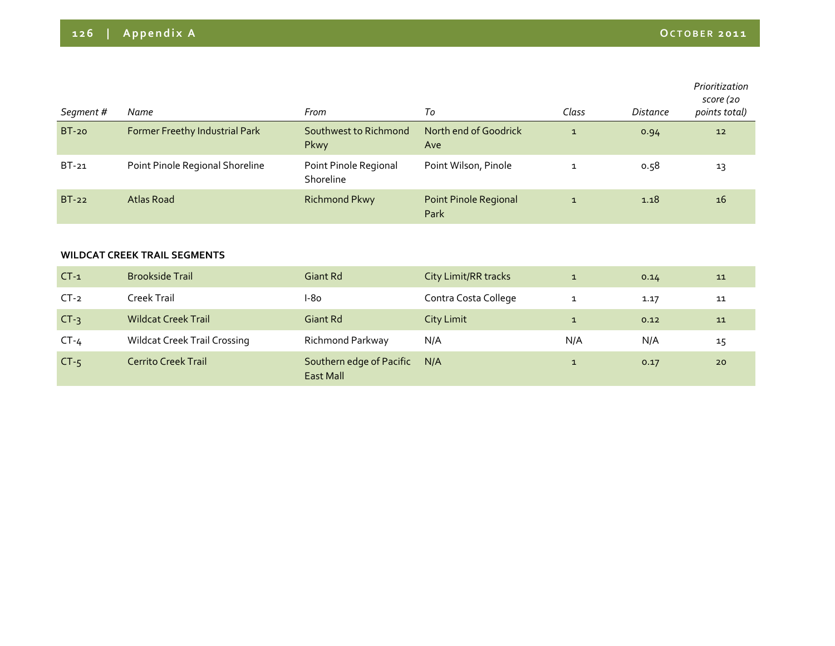| Segment#     | Name                                | From                               | To                                   | Class        | Distance | Prioritization<br>score (20<br>points total) |
|--------------|-------------------------------------|------------------------------------|--------------------------------------|--------------|----------|----------------------------------------------|
| <b>BT-20</b> | Former Freethy Industrial Park      | Southwest to Richmond<br>Pkwy      | North end of Goodrick<br>Ave         | $\mathbf{1}$ | 0.94     | 12                                           |
| $BT-21$      | Point Pinole Regional Shoreline     | Point Pinole Regional<br>Shoreline | Point Wilson, Pinole                 | $\mathbf 1$  | 0.58     | 13                                           |
| $BT-22$      | <b>Atlas Road</b>                   | <b>Richmond Pkwy</b>               | <b>Point Pinole Regional</b><br>Park | $\mathbf{1}$ | 1.18     | 16                                           |
|              | <b>WILDCAT CREEK TRAIL SEGMENTS</b> |                                    |                                      |              |          |                                              |
| $CT-1$       | <b>Brookside Trail</b>              | <b>Giant Rd</b>                    | City Limit/RR tracks                 | $\mathbf{1}$ | 0.14     | ${\bf 11}$                                   |
| $CT-2$       | Creek Trail                         | $I-80$                             | Contra Costa College                 | $\mathbf{1}$ | 1.17     | 11                                           |
| $CT-3$       | <b>Wildcat Creek Trail</b>          | Giant Rd                           | <b>City Limit</b>                    | $\mathbf{1}$ | 0.12     | 11                                           |

CT-4 Wildcat Creek Trail Crossing Richmond Parkway N/A N/A N/A N/A N/A 15

N/A 1 0.17 20

East Mall

CT-5 Cerrito Creek Trail Southern edge of Pacific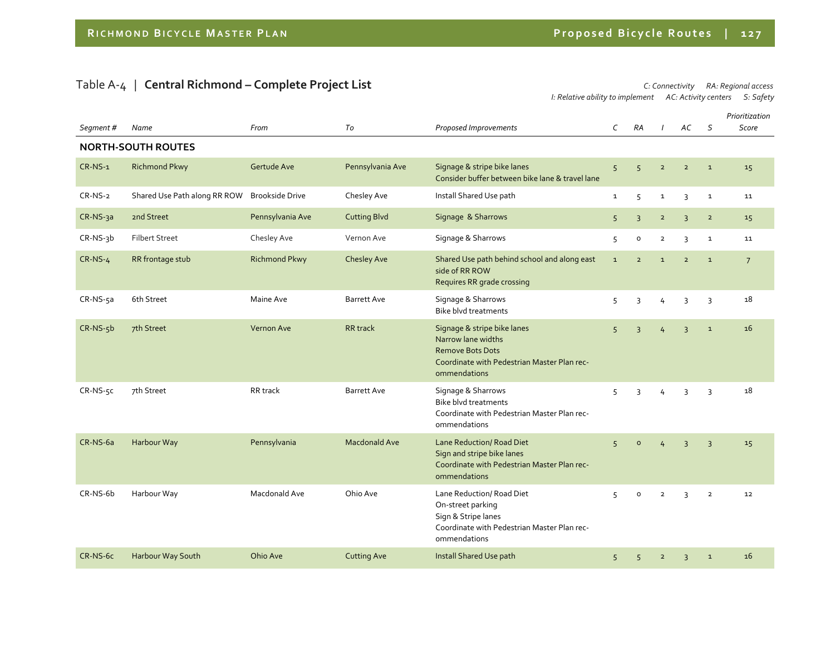### Table <sup>A</sup>‐<sup>4</sup> | **Central Richmond – Complete Project List** *C: Connectivity RA: Regional access*

*I: Relative ability to implement AC: Activity centers S: Safety*

| Segment#   | Name                         | From                   | To                   | Proposed Improvements                                                                                                                       | $\mathsf{C}$   | <b>RA</b>           |                | AC             | S              | Prioritization<br>Score |
|------------|------------------------------|------------------------|----------------------|---------------------------------------------------------------------------------------------------------------------------------------------|----------------|---------------------|----------------|----------------|----------------|-------------------------|
|            | <b>NORTH-SOUTH ROUTES</b>    |                        |                      |                                                                                                                                             |                |                     |                |                |                |                         |
|            |                              |                        |                      |                                                                                                                                             |                |                     |                |                |                |                         |
| $CR-NS-1$  | <b>Richmond Pkwy</b>         | Gertude Ave            | Pennsylvania Ave     | Signage & stripe bike lanes<br>Consider buffer between bike lane & travel lane                                                              | 5              | 5 <sup>5</sup>      | $\overline{2}$ | $\overline{2}$ | $\mathbf{1}$   | 15                      |
| CR-NS-2    | Shared Use Path along RR ROW | <b>Brookside Drive</b> | Chesley Ave          | Install Shared Use path                                                                                                                     | $\mathbf{1}$   | 5                   | $\mathbf{1}$   | 3              | $\mathbf{1}$   | 11                      |
| CR-NS-3a   | 2nd Street                   | Pennsylvania Ave       | <b>Cutting Blvd</b>  | Signage & Sharrows                                                                                                                          | 5              | $\overline{3}$      | $\overline{2}$ | $\overline{3}$ | $\overline{2}$ | 15                      |
| $CR-NS-3b$ | <b>Filbert Street</b>        | Chesley Ave            | Vernon Ave           | Signage & Sharrows                                                                                                                          | 5              | $\mathsf{o}\xspace$ | $\overline{2}$ | 3              | $\mathbf{1}$   | 11                      |
| $CR-NS-4$  | RR frontage stub             | <b>Richmond Pkwy</b>   | Chesley Ave          | Shared Use path behind school and along east<br>side of RR ROW<br>Requires RR grade crossing                                                | $\mathbf{1}$   | $\overline{2}$      | $\mathbf{1}$   | $\overline{2}$ | $\mathbf{1}$   | $\overline{7}$          |
| CR-NS-5a   | 6th Street                   | Maine Ave              | <b>Barrett Ave</b>   | Signage & Sharrows<br><b>Bike blvd treatments</b>                                                                                           | 5              | 3                   | 4              | 3              | 3              | 18                      |
| $CR-NS-5b$ | 7th Street                   | Vernon Ave             | <b>RR</b> track      | Signage & stripe bike lanes<br>Narrow lane widths<br><b>Remove Bots Dots</b><br>Coordinate with Pedestrian Master Plan rec-<br>ommendations | 5              | $\overline{3}$      | $\overline{4}$ | $\overline{3}$ | $\mathbf{1}$   | 16                      |
| CR-NS-5C   | 7th Street                   | RR track               | <b>Barrett Ave</b>   | Signage & Sharrows<br>Bike blyd treatments<br>Coordinate with Pedestrian Master Plan rec-<br>ommendations                                   | 5              | 3                   | 4              | $\overline{3}$ | $\overline{3}$ | 18                      |
| CR-NS-6a   | Harbour Way                  | Pennsylvania           | <b>Macdonald Ave</b> | Lane Reduction/ Road Diet<br>Sign and stripe bike lanes<br>Coordinate with Pedestrian Master Plan rec-<br>ommendations                      | 5 <sup>1</sup> | $\circ$             | $\overline{4}$ | $\overline{3}$ | $\overline{3}$ | 15                      |
| CR-NS-6b   | Harbour Way                  | Macdonald Ave          | Ohio Ave             | Lane Reduction/ Road Diet<br>On-street parking<br>Sign & Stripe lanes<br>Coordinate with Pedestrian Master Plan rec-<br>ommendations        | 5              | $\mathsf{o}$        | $\overline{2}$ | 3              | $\overline{2}$ | $12 \overline{ }$       |
| CR-NS-6c   | Harbour Way South            | Ohio Ave               | <b>Cutting Ave</b>   | Install Shared Use path                                                                                                                     | 5              | 5                   | $\overline{2}$ | $\overline{3}$ | $\mathbf 1$    | 16                      |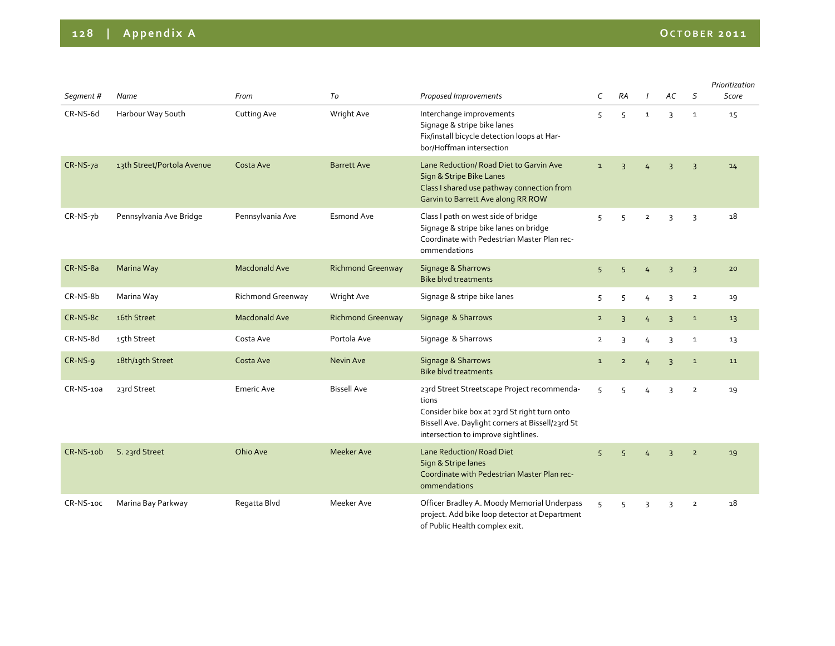| Segment#         | Name                       | From                 | To                       | Proposed Improvements                                                                                                                                                                           | C              | <b>RA</b>      |                | АC                      | S              | Prioritization<br>Score |
|------------------|----------------------------|----------------------|--------------------------|-------------------------------------------------------------------------------------------------------------------------------------------------------------------------------------------------|----------------|----------------|----------------|-------------------------|----------------|-------------------------|
| CR-NS-6d         | Harbour Way South          | Cutting Ave          | Wright Ave               | Interchange improvements<br>Signage & stripe bike lanes<br>Fix/install bicycle detection loops at Har-<br>bor/Hoffman intersection                                                              | 5              | 5              | $\mathbf{1}$   | 3                       | $\mathbf{1}$   | 15                      |
| CR-NS-7a         | 13th Street/Portola Avenue | Costa Ave            | <b>Barrett Ave</b>       | Lane Reduction/ Road Diet to Garvin Ave<br>Sign & Stripe Bike Lanes<br>Class I shared use pathway connection from<br>Garvin to Barrett Ave along RR ROW                                         | $\mathbf 1$    | $\overline{3}$ |                | $\overline{3}$          | $\overline{3}$ | 14                      |
| $CR-NS-7b$       | Pennsylvania Ave Bridge    | Pennsylvania Ave     | <b>Esmond Ave</b>        | Class I path on west side of bridge<br>Signage & stripe bike lanes on bridge<br>Coordinate with Pedestrian Master Plan rec-<br>ommendations                                                     | 5              | 5              | $\overline{2}$ | 3                       | $\overline{3}$ | 18                      |
| CR-NS-8a         | Marina Way                 | <b>Macdonald Ave</b> | <b>Richmond Greenway</b> | Signage & Sharrows<br><b>Bike blyd treatments</b>                                                                                                                                               | 5              | 5              | 4              | 3                       | $\overline{3}$ | 20                      |
| CR-NS-8b         | Marina Way                 | Richmond Greenway    | Wright Ave               | Signage & stripe bike lanes                                                                                                                                                                     | 5              | 5              | 4              | 3                       | $\overline{2}$ | 19                      |
| CR-NS-8c         | 16th Street                | <b>Macdonald Ave</b> | <b>Richmond Greenway</b> | Signage & Sharrows                                                                                                                                                                              | $\overline{2}$ | $\overline{3}$ | 4              | $\overline{3}$          | $\mathbf 1$    | 13                      |
| CR-NS-8d         | 15th Street                | Costa Ave            | Portola Ave              | Signage & Sharrows                                                                                                                                                                              | $\overline{2}$ | 3              | 4              | 3                       | 1              | 13                      |
| $CR-NS-9$        | 18th/19th Street           | Costa Ave            | Nevin Ave                | Signage & Sharrows<br><b>Bike blyd treatments</b>                                                                                                                                               | $\mathbf{1}$   | $\overline{2}$ | 4              | 3                       | $\mathbf 1$    | 11                      |
| CR-NS-10a        | 23rd Street                | <b>Emeric Ave</b>    | <b>Bissell Ave</b>       | 23rd Street Streetscape Project recommenda-<br>tions<br>Consider bike box at 23rd St right turn onto<br>Bissell Ave. Daylight corners at Bissell/23rd St<br>intersection to improve sightlines. | 5              | 5              | 4              | 3                       | $\overline{2}$ | 19                      |
| CR-NS-10b        | S. 23rd Street             | Ohio Ave             | Meeker Ave               | Lane Reduction/ Road Diet<br>Sign & Stripe lanes<br>Coordinate with Pedestrian Master Plan rec-<br>ommendations                                                                                 | 5              | 5              |                | $\overline{\mathbf{3}}$ | $\overline{2}$ | 19                      |
| <b>CR-NS-10C</b> | Marina Bay Parkway         | Regatta Blvd         | Meeker Ave               | Officer Bradley A. Moody Memorial Underpass<br>project. Add bike loop detector at Department<br>of Public Health complex exit.                                                                  | 5              | 5              | 3              | 3                       | $\overline{2}$ | 18                      |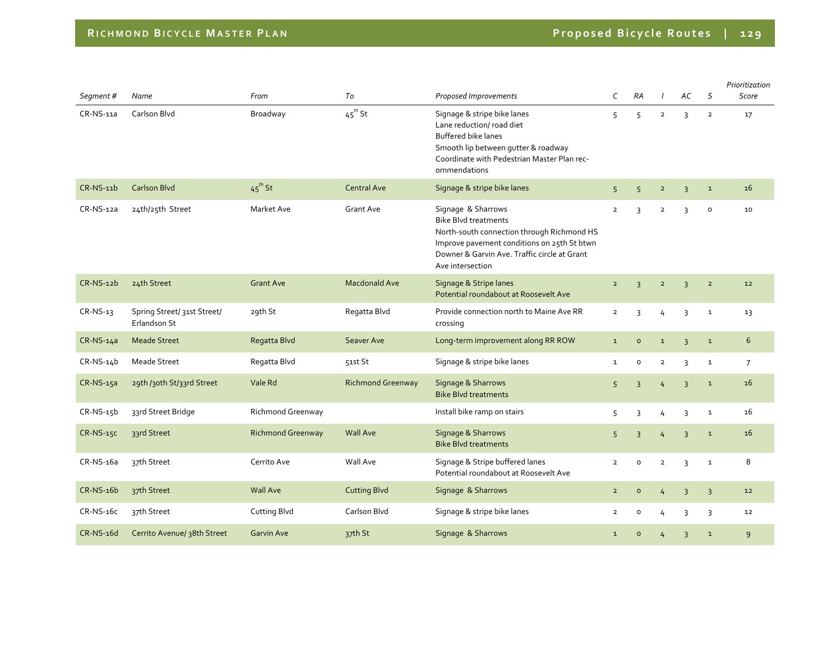| Segment#     | Name                                        | From                     | To                       | Proposed Improvements                                                                                                                                                                                              | C              | RA                  |                | AC             | S              | Prioritization<br>Score |
|--------------|---------------------------------------------|--------------------------|--------------------------|--------------------------------------------------------------------------------------------------------------------------------------------------------------------------------------------------------------------|----------------|---------------------|----------------|----------------|----------------|-------------------------|
| CR-NS-11a    | Carlson Blvd                                | Broadway                 | $45^{\text{th}}$ St      | Signage & stripe bike lanes<br>Lane reduction/ road diet<br>Buffered bike lanes<br>Smooth lip between gutter & roadway<br>Coordinate with Pedestrian Master Plan rec-<br>ommendations                              | 5              | 5                   | $\overline{2}$ | 3              | $\overline{2}$ | 17                      |
| CR-NS-11b    | <b>Carlson Blvd</b>                         | $45^{\text{th}}$ St      | <b>Central Ave</b>       | Signage & stripe bike lanes                                                                                                                                                                                        | 5              | 5 <sup>1</sup>      | $\overline{2}$ | $\overline{3}$ | $\mathbf 1$    | 16                      |
| $CR-NS-12a$  | 24th/25th Street                            | Market Ave               | <b>Grant Ave</b>         | Signage & Sharrows<br><b>Bike Blvd treatments</b><br>North-south connection through Richmond HS<br>Improve pavement conditions on 25th St btwn<br>Downer & Garvin Ave. Traffic circle at Grant<br>Ave intersection | $\overline{2}$ | 3                   | $\overline{2}$ | 3              | $\mathsf{o}$   | 10                      |
| $CR-NS-12b$  | 24th Street                                 | <b>Grant Ave</b>         | <b>Macdonald Ave</b>     | Signage & Stripe lanes<br>Potential roundabout at Roosevelt Ave                                                                                                                                                    | $\overline{2}$ | $\overline{3}$      | $\overline{2}$ | $\overline{3}$ | $\overline{2}$ | 12                      |
| $CR-NS-13$   | Spring Street/ 31st Street/<br>Erlandson St | 29th St                  | Regatta Blvd             | Provide connection north to Maine Ave RR<br>crossing                                                                                                                                                               | $\overline{2}$ | 3                   | 4              | 3              | $\mathbf 1$    | 13                      |
| $CR-NS-14a$  | <b>Meade Street</b>                         | Regatta Blvd             | Seaver Ave               | Long-term improvement along RR ROW                                                                                                                                                                                 | $\mathbf{1}$   | $\circ$             | $\mathbf 1$    | $\overline{3}$ | $\mathbf 1$    | 6                       |
| $CR-NS-14b$  | <b>Meade Street</b>                         | Regatta Blvd             | 51st St                  | Signage & stripe bike lanes                                                                                                                                                                                        | $\mathbf{1}$   | $\mathsf{o}$        | $\overline{2}$ | 3              | $\mathbf 1$    | $\overline{7}$          |
| $CR-NS-15a$  | 29th /30th St/33rd Street                   | Vale Rd                  | <b>Richmond Greenway</b> | Signage & Sharrows<br><b>Bike Blyd treatments</b>                                                                                                                                                                  | 5              | $\overline{3}$      | $\frac{1}{4}$  | $\overline{3}$ | $\mathbf{1}$   | 16                      |
| $CR-NS-15b$  | 33rd Street Bridge                          | Richmond Greenway        |                          | Install bike ramp on stairs                                                                                                                                                                                        | 5              | 3                   | 4              | 3              | $\mathbf{1}$   | 16                      |
| CR-NS-15C    | 33rd Street                                 | <b>Richmond Greenway</b> | <b>Wall Ave</b>          | Signage & Sharrows<br><b>Bike Blvd treatments</b>                                                                                                                                                                  | 5              | $\overline{3}$      | $\overline{4}$ | $\overline{3}$ | $\mathbf 1$    | 16                      |
| $CR$ -NS-16a | 37th Street                                 | Cerrito Ave              | Wall Ave                 | Signage & Stripe buffered lanes<br>Potential roundabout at Roosevelt Ave                                                                                                                                           | $\overline{2}$ | $\circ$             | $\overline{2}$ | 3              | $\mathbf{1}$   | 8                       |
| $CR-NS-16b$  | 37th Street                                 | <b>Wall Ave</b>          | <b>Cutting Blvd</b>      | Signage & Sharrows                                                                                                                                                                                                 | $\overline{2}$ | $\circ$             | $\overline{4}$ | $\overline{3}$ | $\overline{3}$ | 12                      |
| $CR-NS-16c$  | 37th Street                                 | <b>Cutting Blvd</b>      | Carlson Blvd             | Signage & stripe bike lanes                                                                                                                                                                                        | $\overline{2}$ | 0                   | 4              | 3              | 3              | 12                      |
| CR-NS-16d    | Cerrito Avenue/ 38th Street                 | <b>Garvin Ave</b>        | 37th St                  | Signage & Sharrows                                                                                                                                                                                                 | $\mathbf{1}$   | $\mathsf{o}\xspace$ | 4              | $\overline{3}$ | $\mathbf 1$    | 9                       |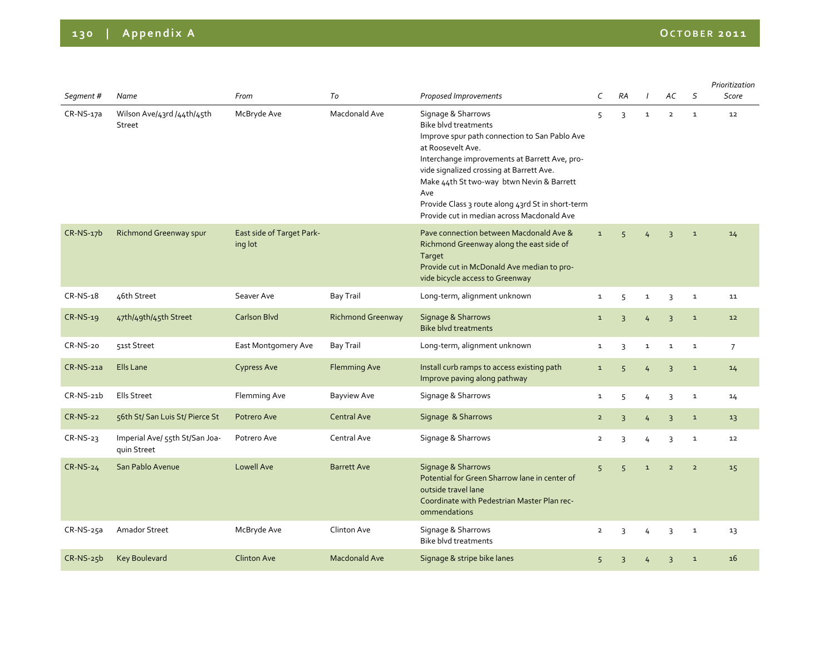| Segment #       | Name                                          | From                                 | To                       | Proposed Improvements                                                                                                                                                                                                                                                                                                                                                       | C              | <b>RA</b>      |                | AC             | S              | Prioritization<br>Score |
|-----------------|-----------------------------------------------|--------------------------------------|--------------------------|-----------------------------------------------------------------------------------------------------------------------------------------------------------------------------------------------------------------------------------------------------------------------------------------------------------------------------------------------------------------------------|----------------|----------------|----------------|----------------|----------------|-------------------------|
| $CR-NS-17a$     | Wilson Ave/43rd /44th/45th<br><b>Street</b>   | McBryde Ave                          | Macdonald Ave            | Signage & Sharrows<br><b>Bike blyd treatments</b><br>Improve spur path connection to San Pablo Ave<br>at Roosevelt Ave.<br>Interchange improvements at Barrett Ave, pro-<br>vide signalized crossing at Barrett Ave.<br>Make 44th St two-way btwn Nevin & Barrett<br>Ave<br>Provide Class 3 route along 43rd St in short-term<br>Provide cut in median across Macdonald Ave | 5              | 3              | $\mathbf{1}$   | $\overline{2}$ | $\mathbf{1}$   | 12                      |
| $CR-NS-17b$     | Richmond Greenway spur                        | East side of Target Park-<br>ing lot |                          | Pave connection between Macdonald Ave &<br>Richmond Greenway along the east side of<br>Target<br>Provide cut in McDonald Ave median to pro-<br>vide bicycle access to Greenway                                                                                                                                                                                              | $\mathbf{1}$   | 5              | 4              | $\overline{3}$ | $\mathbf 1$    | 14                      |
| CR-NS-18        | 46th Street                                   | Seaver Ave                           | Bay Trail                | Long-term, alignment unknown                                                                                                                                                                                                                                                                                                                                                | $\mathbf{1}$   | 5              | $\mathbf{1}$   | 3              | $\mathbf{1}$   | 11                      |
| CR-NS-19        | 47th/49th/45th Street                         | <b>Carlson Blvd</b>                  | <b>Richmond Greenway</b> | Signage & Sharrows<br><b>Bike blvd treatments</b>                                                                                                                                                                                                                                                                                                                           | $\mathbf{1}$   | $\overline{3}$ | $\overline{4}$ | $\overline{3}$ | $\mathbf 1$    | 12                      |
| CR-NS-20        | 51st Street                                   | East Montgomery Ave                  | <b>Bay Trail</b>         | Long-term, alignment unknown                                                                                                                                                                                                                                                                                                                                                | $\mathbf{1}$   | 3              | $\mathbf{1}$   | $\mathbf{1}$   | $\mathbf 1$    | $\overline{7}$          |
| CR-NS-21a       | Ells Lane                                     | <b>Cypress Ave</b>                   | <b>Flemming Ave</b>      | Install curb ramps to access existing path<br>Improve paving along pathway                                                                                                                                                                                                                                                                                                  | $\mathbf 1$    | 5              | $\overline{4}$ | $\overline{3}$ | $\mathbf{1}$   | 14                      |
| $CR-NS-21b$     | Ells Street                                   | Flemming Ave                         | Bayview Ave              | Signage & Sharrows                                                                                                                                                                                                                                                                                                                                                          | $\mathbf 1$    | 5              | 4              | $\overline{3}$ | $\mathbf 1$    | 14                      |
| <b>CR-NS-22</b> | 56th St/ San Luis St/ Pierce St               | Potrero Ave                          | <b>Central Ave</b>       | Signage & Sharrows                                                                                                                                                                                                                                                                                                                                                          | $\overline{2}$ | $\overline{3}$ | $\overline{4}$ | $\overline{3}$ | $\mathbf 1$    | 13                      |
| $CR-NS-23$      | Imperial Ave/ 55th St/San Joa-<br>quin Street | Potrero Ave                          | Central Ave              | Signage & Sharrows                                                                                                                                                                                                                                                                                                                                                          | 2              | 3              | 4              | 3              | $\mathbf 1$    | 12                      |
| <b>CR-NS-24</b> | San Pablo Avenue                              | <b>Lowell Ave</b>                    | <b>Barrett Ave</b>       | Signage & Sharrows<br>Potential for Green Sharrow lane in center of<br>outside travel lane<br>Coordinate with Pedestrian Master Plan rec-<br>ommendations                                                                                                                                                                                                                   | 5              | 5              | $\mathbf 1$    | $\overline{2}$ | $\overline{2}$ | 15                      |
| $CR-NS-25a$     | Amador Street                                 | McBryde Ave                          | Clinton Ave              | Signage & Sharrows<br><b>Bike blvd treatments</b>                                                                                                                                                                                                                                                                                                                           | $\overline{2}$ | 3              | 4              | 3              | $\mathbf{1}$   | 13                      |
| $CR-NS-25b$     | <b>Key Boulevard</b>                          | <b>Clinton Ave</b>                   | <b>Macdonald Ave</b>     | Signage & stripe bike lanes                                                                                                                                                                                                                                                                                                                                                 | 5              | $\overline{3}$ | 4              | $\overline{3}$ | $\mathbf{1}$   | 16                      |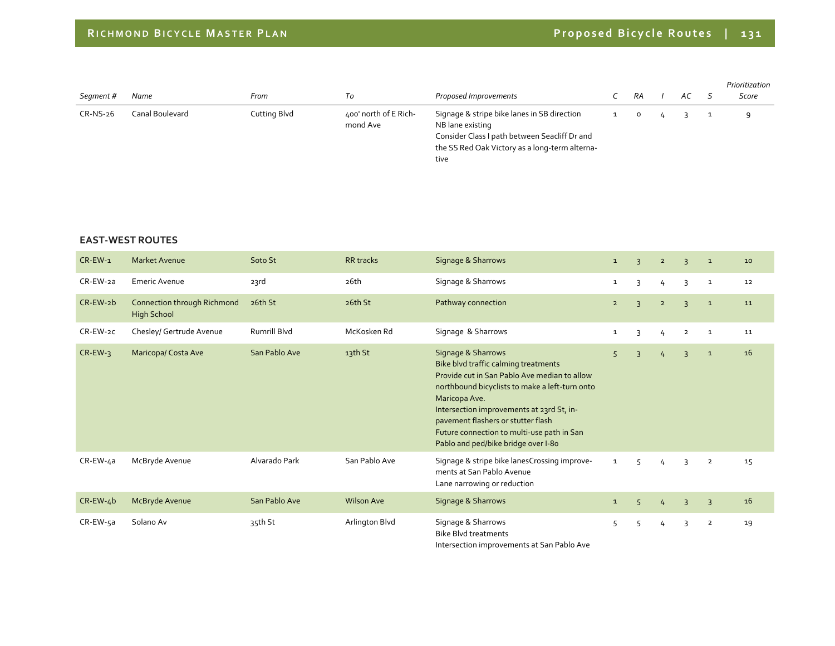| Segment #  | Name            | From         | Тo                                | Proposed Improvements                                                                                                                                                      | RA | АC | Prioritization<br>Score |
|------------|-----------------|--------------|-----------------------------------|----------------------------------------------------------------------------------------------------------------------------------------------------------------------------|----|----|-------------------------|
| $CR-NS-26$ | Canal Boulevard | Cutting Blvd | 400' north of E Rich-<br>mond Ave | Signage & stripe bike lanes in SB direction<br>NB lane existing<br>Consider Class I path between Seacliff Dr and<br>the SS Red Oak Victory as a long-term alterna-<br>tive |    |    | $\Omega$                |

#### **EAST‐WEST ROUTES**

| $CR$ -EW-1     | <b>Market Avenue</b>                              | Soto St       | <b>RR</b> tracks  | Signage & Sharrows                                                                                                                                                                                                                                                                                                                                    | $\mathbf{1}$ | $\overline{3}$ | $\overline{2}$ | $\overline{3}$ | $\mathbf{1}$   | 10 |
|----------------|---------------------------------------------------|---------------|-------------------|-------------------------------------------------------------------------------------------------------------------------------------------------------------------------------------------------------------------------------------------------------------------------------------------------------------------------------------------------------|--------------|----------------|----------------|----------------|----------------|----|
| CR-EW-2a       | Emeric Avenue                                     | 23rd          | 26th              | Signage & Sharrows                                                                                                                                                                                                                                                                                                                                    | $\mathbf{1}$ | 3              | $\frac{1}{2}$  | 3              | $\mathbf{1}$   | 12 |
| CR-EW-2b       | Connection through Richmond<br><b>High School</b> | 26th St       | 26th St           | Pathway connection                                                                                                                                                                                                                                                                                                                                    | $2^{\circ}$  | $\overline{3}$ | $\overline{2}$ | $\overline{3}$ | $\mathbf{1}$   | 11 |
| CR-EW-2C       | Chesley/ Gertrude Avenue                          | Rumrill Blvd  | McKosken Rd       | Signage & Sharrows                                                                                                                                                                                                                                                                                                                                    | $\mathbf{1}$ | 3              | $\overline{4}$ | $\overline{2}$ | $\mathbf{1}$   | 11 |
| $CR$ -EW-3     | Maricopa/Costa Ave                                | San Pablo Ave | 13th St           | Signage & Sharrows<br>Bike blvd traffic calming treatments<br>Provide cut in San Pablo Ave median to allow<br>northbound bicyclists to make a left-turn onto<br>Maricopa Ave.<br>Intersection improvements at 23rd St, in-<br>pavement flashers or stutter flash<br>Future connection to multi-use path in San<br>Pablo and ped/bike bridge over I-80 | 5            | $\overline{3}$ | $\frac{1}{4}$  | $\overline{3}$ | $\mathbf{1}$   | 16 |
| CR-EW-4a       | McBryde Avenue                                    | Alvarado Park | San Pablo Ave     | Signage & stripe bike lanesCrossing improve-<br>ments at San Pablo Avenue<br>Lane narrowing or reduction                                                                                                                                                                                                                                              | $\mathbf{1}$ | 5              | 4              | 3              | $\overline{2}$ | 15 |
| $CR$ -EW-4 $b$ | McBryde Avenue                                    | San Pablo Ave | <b>Wilson Ave</b> | Signage & Sharrows                                                                                                                                                                                                                                                                                                                                    | $\mathbf{1}$ | 5              | 4              | $\overline{3}$ | $\overline{3}$ | 16 |
| CR-EW-5a       | Solano Av                                         | 35th St       | Arlington Blvd    | Signage & Sharrows<br><b>Bike Blvd treatments</b><br>Intercestion improvements at Can Bable Ave                                                                                                                                                                                                                                                       | 5            | 5              | 4              | 3              | $\overline{2}$ | 19 |

Intersection improvements at San Pablo Ave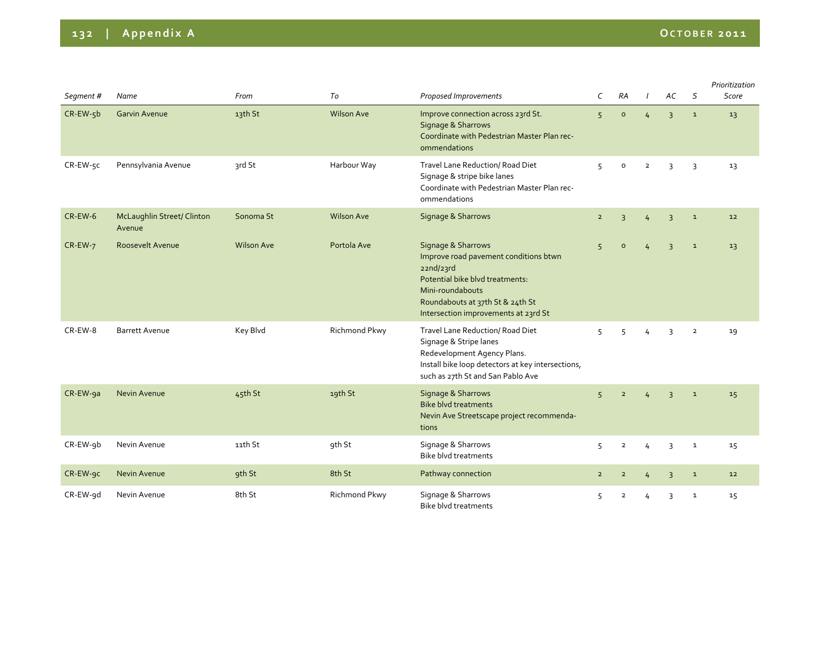| Segment # | Name                                        | From              | To                | Proposed Improvements                                                                                                                                                                                       | C              | RA                  | $\prime$       | AC             | S              | Prioritization<br>Score |
|-----------|---------------------------------------------|-------------------|-------------------|-------------------------------------------------------------------------------------------------------------------------------------------------------------------------------------------------------------|----------------|---------------------|----------------|----------------|----------------|-------------------------|
| CR-EW-5b  | <b>Garvin Avenue</b>                        | 13th St           | <b>Wilson Ave</b> | Improve connection across 23rd St.<br>Signage & Sharrows<br>Coordinate with Pedestrian Master Plan rec-<br>ommendations                                                                                     | 5              | $\mathsf{o}\xspace$ | 4              | $\overline{3}$ | $\mathbf 1$    | 13                      |
| CR-EW-5C  | Pennsylvania Avenue                         | 3rd St            | Harbour Way       | Travel Lane Reduction/ Road Diet<br>Signage & stripe bike lanes<br>Coordinate with Pedestrian Master Plan rec-<br>ommendations                                                                              | 5              | 0                   | $\overline{2}$ | 3              | 3              | 13                      |
| CR-EW-6   | <b>McLaughlin Street/ Clinton</b><br>Avenue | Sonoma St         | <b>Wilson Ave</b> | Signage & Sharrows                                                                                                                                                                                          | $\overline{2}$ | $\overline{3}$      | 4              | $\overline{3}$ | $\mathbf{1}$   | 12                      |
| CR-EW-7   | Roosevelt Avenue                            | <b>Wilson Ave</b> | Portola Ave       | Signage & Sharrows<br>Improve road pavement conditions btwn<br>22nd/23rd<br>Potential bike blyd treatments:<br>Mini-roundabouts<br>Roundabouts at 37th St & 24th St<br>Intersection improvements at 23rd St | 5              | $\circ$             |                | $\overline{3}$ | $\mathbf{1}$   | 13                      |
| CR-EW-8   | <b>Barrett Avenue</b>                       | Key Blvd          | Richmond Pkwy     | Travel Lane Reduction/ Road Diet<br>Signage & Stripe lanes<br>Redevelopment Agency Plans.<br>Install bike loop detectors at key intersections,<br>such as 27th St and San Pablo Ave                         | 5              | 5                   | 4              | 3              | $\overline{2}$ | 19                      |
| CR-EW-9a  | Nevin Avenue                                | 45th St           | 19th St           | Signage & Sharrows<br><b>Bike blvd treatments</b><br>Nevin Ave Streetscape project recommenda-<br>tions                                                                                                     | $\overline{5}$ | $\overline{2}$      |                | $\overline{3}$ | $\mathbf 1$    | 15                      |
| CR-EW-9b  | Nevin Avenue                                | 11th St           | 9th St            | Signage & Sharrows<br><b>Bike blyd treatments</b>                                                                                                                                                           | 5              | $\overline{2}$      | 4              | $\overline{3}$ | $\mathbf 1$    | 15                      |
| CR-EW-9C  | Nevin Avenue                                | 9th St            | 8th St            | Pathway connection                                                                                                                                                                                          | $\overline{2}$ | $\overline{2}$      | 4              | $\overline{3}$ | $\mathbf 1$    | 12                      |
| CR-EW-9d  | Nevin Avenue                                | 8th St            | Richmond Pkwy     | Signage & Sharrows<br>Bike blvd treatments                                                                                                                                                                  | 5              | $\overline{2}$      |                | 3              | $\mathbf{1}$   | 15                      |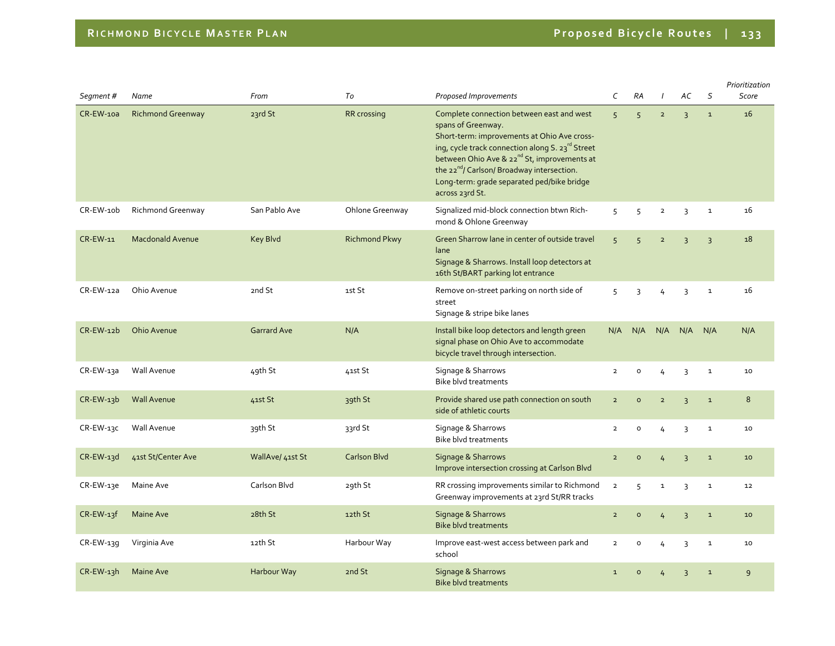| Segment#         | Name                     | From               | To                   | Proposed Improvements                                                                                                                                                                                                                                                                                                                                    | C              | <b>RA</b>      | $\prime$       | АC             | $\mathsf S$    | Prioritization<br>Score |
|------------------|--------------------------|--------------------|----------------------|----------------------------------------------------------------------------------------------------------------------------------------------------------------------------------------------------------------------------------------------------------------------------------------------------------------------------------------------------------|----------------|----------------|----------------|----------------|----------------|-------------------------|
| <b>CR-EW-10a</b> | <b>Richmond Greenway</b> | 23rd St            | <b>RR</b> crossing   | Complete connection between east and west<br>spans of Greenway.<br>Short-term: improvements at Ohio Ave cross-<br>ing, cycle track connection along S. 23rd Street<br>between Ohio Ave & 22 <sup>nd</sup> St, improvements at<br>the 22 <sup>nd</sup> / Carlson/ Broadway intersection.<br>Long-term: grade separated ped/bike bridge<br>across 23rd St. | 5 <sup>1</sup> | 5              | $\overline{2}$ | $\overline{3}$ | $\mathbf 1$    | 16                      |
| CR-EW-10b        | Richmond Greenway        | San Pablo Ave      | Ohlone Greenway      | Signalized mid-block connection btwn Rich-<br>mond & Ohlone Greenway                                                                                                                                                                                                                                                                                     | 5              | 5              | $\overline{2}$ | 3              | $\mathbf 1$    | 16                      |
| CR-EW-11         | <b>Macdonald Avenue</b>  | <b>Key Blvd</b>    | <b>Richmond Pkwy</b> | Green Sharrow lane in center of outside travel<br>lane<br>Signage & Sharrows. Install loop detectors at<br>16th St/BART parking lot entrance                                                                                                                                                                                                             | $\overline{5}$ | 5              | $\overline{2}$ | 3              | $\overline{3}$ | 18                      |
| $CR$ -EW-12a     | Ohio Avenue              | 2nd St             | 1st St               | Remove on-street parking on north side of<br>street<br>Signage & stripe bike lanes                                                                                                                                                                                                                                                                       | 5              | 3              | 4              | 3              | $\mathbf 1$    | 16                      |
| CR-EW-12b        | Ohio Avenue              | <b>Garrard Ave</b> | N/A                  | Install bike loop detectors and length green<br>signal phase on Ohio Ave to accommodate<br>bicycle travel through intersection.                                                                                                                                                                                                                          | N/A            | N/A            | N/A            | N/A            | N/A            | N/A                     |
| CR-EW-13a        | Wall Avenue              | 49th St            | 41st St              | Signage & Sharrows<br><b>Bike blvd treatments</b>                                                                                                                                                                                                                                                                                                        | $\overline{2}$ | $\mathsf{o}$   | 4              | 3              | $\mathbf 1$    | 10                      |
| $CR$ -EW-13b     | <b>Wall Avenue</b>       | 41st St            | 39th St              | Provide shared use path connection on south<br>side of athletic courts                                                                                                                                                                                                                                                                                   | $\overline{2}$ | $\circ$        | $\overline{2}$ | $\overline{3}$ | $\mathbf 1$    | 8                       |
| CR-EW-13C        | Wall Avenue              | 39th St            | 33rd St              | Signage & Sharrows<br>Bike blvd treatments                                                                                                                                                                                                                                                                                                               | $\overline{2}$ | $\mathsf{o}$   | 4              | 3              | $\mathbf 1$    | 10                      |
| CR-EW-13d        | 41st St/Center Ave       | WallAve/ 41st St   | <b>Carlson Blvd</b>  | Signage & Sharrows<br>Improve intersection crossing at Carlson Blvd                                                                                                                                                                                                                                                                                      | $\overline{2}$ | $\circ$        | 4              | $\overline{3}$ | $\mathbf 1$    | 10                      |
| CR-EW-13e        | Maine Ave                | Carlson Blvd       | 29th St              | RR crossing improvements similar to Richmond<br>Greenway improvements at 23rd St/RR tracks                                                                                                                                                                                                                                                               | $\overline{2}$ | 5              | $\mathbf 1$    | 3              | $\mathbf 1$    | 12                      |
| $CR$ -EW-13f     | Maine Ave                | 28th St            | 12th St              | Signage & Sharrows<br><b>Bike blvd treatments</b>                                                                                                                                                                                                                                                                                                        | $\overline{2}$ | $\mathsf{o}$   | $\overline{4}$ | $\overline{3}$ | $\mathbf 1$    | $10$                    |
| $CR$ -EW-139     | Virginia Ave             | 12th St            | Harbour Way          | Improve east-west access between park and<br>school                                                                                                                                                                                                                                                                                                      | $\overline{2}$ | $\mathsf{o}\,$ | 4              | 3              | $\mathbf 1$    | 10                      |
| CR-EW-13h        | Maine Ave                | Harbour Way        | 2nd St               | Signage & Sharrows<br><b>Bike blyd treatments</b>                                                                                                                                                                                                                                                                                                        | $\mathbf{1}$   | $\circ$        | 4              | $\overline{3}$ | $\mathbf 1$    | 9                       |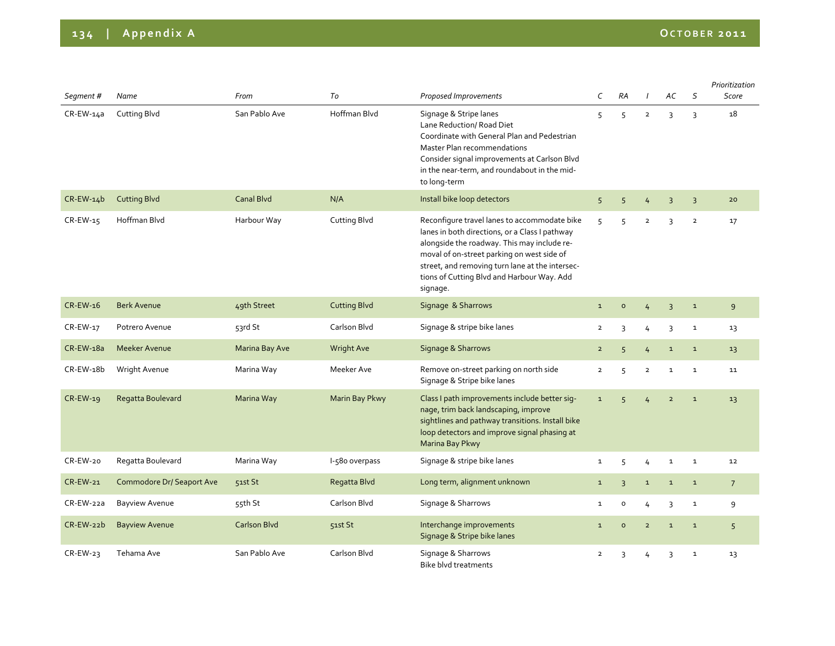| Segment#        | Name                             | From           | To                  | Proposed Improvements                                                                                                                                                                                                                                                                                    | C              | RA             |                | АC             | $\mathsf S$    | Prioritization<br>Score |
|-----------------|----------------------------------|----------------|---------------------|----------------------------------------------------------------------------------------------------------------------------------------------------------------------------------------------------------------------------------------------------------------------------------------------------------|----------------|----------------|----------------|----------------|----------------|-------------------------|
| CR-EW-14a       | <b>Cutting Blvd</b>              | San Pablo Ave  | Hoffman Blvd        | Signage & Stripe lanes<br>Lane Reduction/ Road Diet<br>Coordinate with General Plan and Pedestrian<br>Master Plan recommendations<br>Consider signal improvements at Carlson Blvd<br>in the near-term, and roundabout in the mid-<br>to long-term                                                        | 5              | 5              | $\overline{2}$ | 3              | $\overline{3}$ | 18                      |
| $CR$ -EW-14 $b$ | <b>Cutting Blvd</b>              | Canal Blvd     | N/A                 | Install bike loop detectors                                                                                                                                                                                                                                                                              | 5              | 5              | $\frac{1}{4}$  | $\overline{3}$ | $\overline{3}$ | 20                      |
| CR-EW-15        | Hoffman Blvd                     | Harbour Way    | <b>Cutting Blvd</b> | Reconfigure travel lanes to accommodate bike<br>lanes in both directions, or a Class I pathway<br>alongside the roadway. This may include re-<br>moval of on-street parking on west side of<br>street, and removing turn lane at the intersec-<br>tions of Cutting Blvd and Harbour Way. Add<br>signage. | 5              | 5              | $\overline{2}$ | 3              | $\overline{2}$ | 17                      |
| $CR$ -EW-16     | <b>Berk Avenue</b>               | 49th Street    | <b>Cutting Blvd</b> | Signage & Sharrows                                                                                                                                                                                                                                                                                       | $\mathbf 1$    | $\mathsf{o}$   | $\overline{4}$ | $\overline{3}$ | $\mathbf 1$    | 9                       |
| CR-EW-17        | Potrero Avenue                   | 53rd St        | Carlson Blvd        | Signage & stripe bike lanes                                                                                                                                                                                                                                                                              | $\overline{2}$ | 3              | 4              | 3              | $\mathbf{1}$   | 13                      |
| CR-EW-18a       | <b>Meeker Avenue</b>             | Marina Bay Ave | <b>Wright Ave</b>   | Signage & Sharrows                                                                                                                                                                                                                                                                                       | $\overline{2}$ | 5              | $\overline{4}$ | $\mathbf 1$    | $\mathbf 1$    | 13                      |
| CR-EW-18b       | Wright Avenue                    | Marina Way     | Meeker Ave          | Remove on-street parking on north side<br>Signage & Stripe bike lanes                                                                                                                                                                                                                                    | $\overline{2}$ | 5              | $\overline{2}$ | $\mathbf{1}$   | $\mathbf{1}$   | 11                      |
| CR-EW-19        | Regatta Boulevard                | Marina Way     | Marin Bay Pkwy      | Class I path improvements include better sig-<br>nage, trim back landscaping, improve<br>sightlines and pathway transitions. Install bike<br>loop detectors and improve signal phasing at<br>Marina Bay Pkwy                                                                                             | $\mathbf{1}$   | 5              | 4              | $\overline{2}$ | $\mathbf 1$    | 13                      |
| CR-EW-20        | Regatta Boulevard                | Marina Way     | l-580 overpass      | Signage & stripe bike lanes                                                                                                                                                                                                                                                                              | $\mathbf{1}$   | 5              | 4              | $\mathbf{1}$   | $\mathbf{1}$   | 12                      |
| CR-EW-21        | <b>Commodore Dr/ Seaport Ave</b> | 51st St        | Regatta Blvd        | Long term, alignment unknown                                                                                                                                                                                                                                                                             | $\mathbf 1$    | $\overline{3}$ | $\mathbf 1$    | $\mathbf 1$    | $\mathbf 1$    | $\overline{7}$          |
| CR-EW-22a       | <b>Bayview Avenue</b>            | 55th St        | Carlson Blvd        | Signage & Sharrows                                                                                                                                                                                                                                                                                       | 1              | o              | 4              | 3              | $\mathbf{1}$   | 9                       |
| CR-EW-22b       | <b>Bayview Avenue</b>            | Carlson Blvd   | 51st St             | Interchange improvements<br>Signage & Stripe bike lanes                                                                                                                                                                                                                                                  | $\mathbf 1$    | $\circ$        | $\overline{2}$ | $\mathbf 1$    | $\mathbf 1$    | 5                       |
| $CR$ -EW-23     | Tehama Ave                       | San Pablo Ave  | Carlson Blvd        | Signage & Sharrows<br>Bike blyd treatments                                                                                                                                                                                                                                                               | $\overline{2}$ | 3              | 4              | 3              | $\mathbf 1$    | 13                      |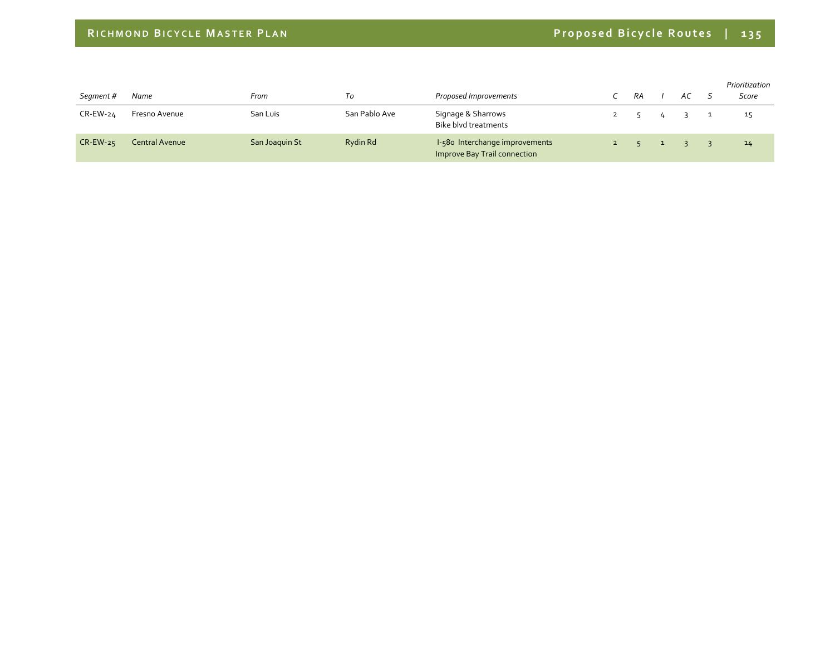| Segment #   | Name           | From           | 10            | Proposed Improvements                                          | RA |                | AC S |              | Prioritization<br>Score |
|-------------|----------------|----------------|---------------|----------------------------------------------------------------|----|----------------|------|--------------|-------------------------|
| CR-EW-24    | Fresno Avenue  | San Luis       | San Pablo Ave | Signage & Sharrows<br>Bike blyd treatments                     |    | $\overline{4}$ |      | $\mathbf{L}$ | 15                      |
| $CR$ -EW-25 | Central Avenue | San Joaquin St | Rydin Rd      | I-580 Interchange improvements<br>Improve Bay Trail connection |    | $\sim$ 1       |      |              | 14                      |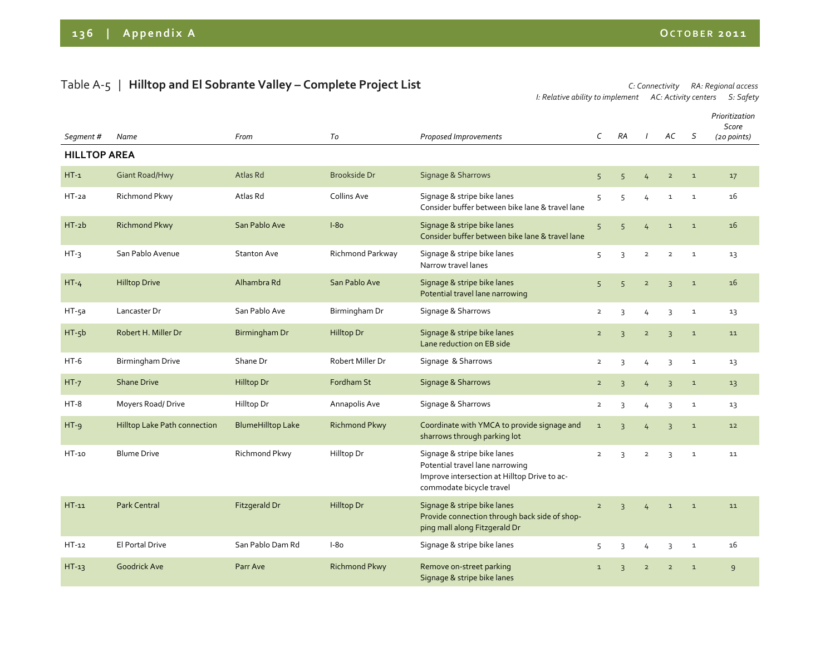## Table <sup>A</sup>‐5 | **Hilltop and El Sobrante Valley – Complete Project List** *C: Connectivity RA: Regional access*

*I: Relative ability to implement AC: Activity centers S: Safety*

|                     |                                     |                          |                      |                                                                                                                                            | $\mathsf{C}$   | <b>RA</b>      | $\overline{1}$ | AC             | S            | Prioritization<br>Score |
|---------------------|-------------------------------------|--------------------------|----------------------|--------------------------------------------------------------------------------------------------------------------------------------------|----------------|----------------|----------------|----------------|--------------|-------------------------|
| Segment #           | Name                                | From                     | To                   | Proposed Improvements                                                                                                                      |                |                |                |                |              | (20 points)             |
| <b>HILLTOP AREA</b> |                                     |                          |                      |                                                                                                                                            |                |                |                |                |              |                         |
| $HT-1$              | <b>Giant Road/Hwy</b>               | Atlas Rd                 | <b>Brookside Dr</b>  | Signage & Sharrows                                                                                                                         | 5              | 5              | 4              | $\overline{2}$ | $\mathbf{1}$ | 17                      |
| $HT$ -2a            | Richmond Pkwy                       | Atlas Rd                 | Collins Ave          | Signage & stripe bike lanes<br>Consider buffer between bike lane & travel lane                                                             | 5              | 5              | 4              | $\mathbf 1$    | $\mathbf{1}$ | 16                      |
| $HT - 2b$           | <b>Richmond Pkwy</b>                | San Pablo Ave            | $I-80$               | Signage & stripe bike lanes<br>Consider buffer between bike lane & travel lane                                                             | 5              | 5              | 4              | $\mathbf{1}$   | $\mathbf{1}$ | 16                      |
| $HT-3$              | San Pablo Avenue                    | <b>Stanton Ave</b>       | Richmond Parkway     | Signage & stripe bike lanes<br>Narrow travel lanes                                                                                         | 5              | 3              | $\overline{2}$ | $\overline{2}$ | $\mathbf{1}$ | 13                      |
| $HT - 4$            | <b>Hilltop Drive</b>                | Alhambra Rd              | San Pablo Ave        | Signage & stripe bike lanes<br>Potential travel lane narrowing                                                                             | 5              | $\overline{5}$ | $\overline{2}$ | $\overline{3}$ | $\mathbf{1}$ | 16                      |
| HT-5a               | Lancaster Dr                        | San Pablo Ave            | Birmingham Dr        | Signage & Sharrows                                                                                                                         | $\overline{2}$ | 3              | 4              | 3              | $\mathbf 1$  | 13                      |
| $HT-5b$             | Robert H. Miller Dr                 | Birmingham Dr            | <b>Hilltop Dr</b>    | Signage & stripe bike lanes<br>Lane reduction on EB side                                                                                   | $\overline{2}$ | $\overline{3}$ | $\overline{2}$ | $\overline{3}$ | $\mathbf 1$  | 11                      |
| $HT-6$              | Birmingham Drive                    | Shane Dr                 | Robert Miller Dr     | Signage & Sharrows                                                                                                                         | $\overline{2}$ | $\overline{3}$ | 4              | 3              | $\mathbf{1}$ | 13                      |
| $HT-7$              | <b>Shane Drive</b>                  | Hilltop Dr               | Fordham St           | Signage & Sharrows                                                                                                                         | $\overline{2}$ | $\overline{3}$ | $\overline{4}$ | $\overline{3}$ | $\mathbf 1$  | 13                      |
| $HT-8$              | Moyers Road/Drive                   | Hilltop Dr               | Annapolis Ave        | Signage & Sharrows                                                                                                                         | $\overline{2}$ | 3              | 4              | 3              | $\mathbf{1}$ | 13                      |
| $HT - 9$            | <b>Hilltop Lake Path connection</b> | <b>BlumeHilltop Lake</b> | <b>Richmond Pkwy</b> | Coordinate with YMCA to provide signage and<br>sharrows through parking lot                                                                | $\mathbf 1$    | $\overline{3}$ | 4              | $\overline{3}$ | $\mathbf{1}$ | 12                      |
| $HT-10$             | <b>Blume Drive</b>                  | Richmond Pkwy            | Hilltop Dr           | Signage & stripe bike lanes<br>Potential travel lane narrowing<br>Improve intersection at Hilltop Drive to ac-<br>commodate bicycle travel | $\overline{2}$ | $\overline{3}$ | $\overline{2}$ | 3              | $\mathbf{1}$ | 11                      |
| $HT-11$             | <b>Park Central</b>                 | Fitzgerald Dr            | Hilltop Dr           | Signage & stripe bike lanes<br>Provide connection through back side of shop-<br>ping mall along Fitzgerald Dr                              | $\overline{2}$ | $\overline{3}$ | $\overline{L}$ | $\mathbf 1$    | $\mathbf 1$  | 11                      |
| $HT-12$             | El Portal Drive                     | San Pablo Dam Rd         | $I-80$               | Signage & stripe bike lanes                                                                                                                | 5              | 3              | 4              | 3              | $\mathbf 1$  | 16                      |
| $HT-13$             | <b>Goodrick Ave</b>                 | Parr Ave                 | <b>Richmond Pkwy</b> | Remove on-street parking<br>Signage & stripe bike lanes                                                                                    | $\mathbf 1$    | 3              | $\overline{2}$ | $\overline{2}$ | $\mathbf{1}$ | 9                       |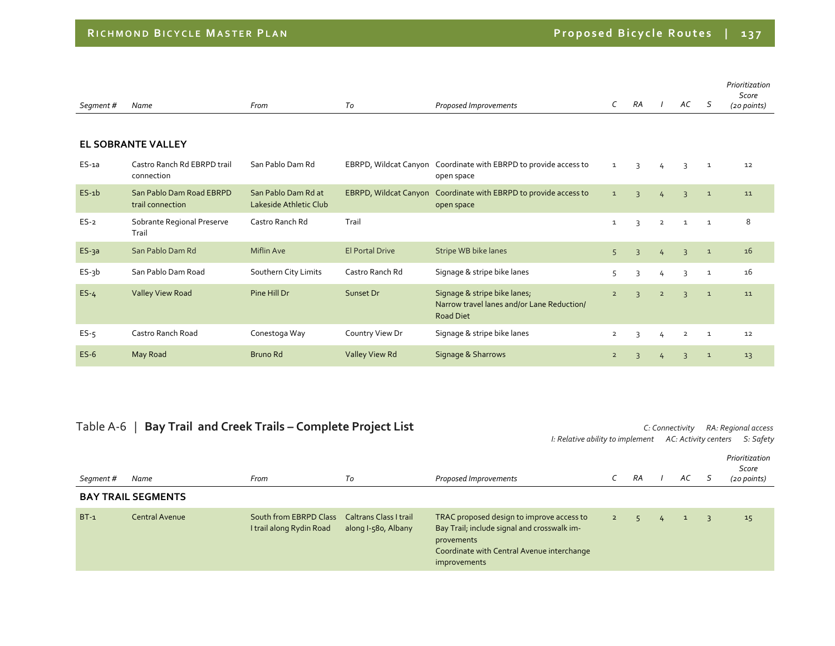| Segment # | Name                                         | From                                          | To                           | Proposed Improvements                                                                          | C              | RA             |                | AC             | -S           | Prioritization<br>Score<br>(20 points) |
|-----------|----------------------------------------------|-----------------------------------------------|------------------------------|------------------------------------------------------------------------------------------------|----------------|----------------|----------------|----------------|--------------|----------------------------------------|
|           | <b>EL SOBRANTE VALLEY</b>                    |                                               |                              |                                                                                                |                |                |                |                |              |                                        |
| $ES-1a$   | Castro Ranch Rd EBRPD trail<br>connection    | San Pablo Dam Rd                              |                              | EBRPD, Wildcat Canyon Coordinate with EBRPD to provide access to<br>open space                 | $\mathbf{1}$   | 3              | $\overline{4}$ | 3              | $\mathbf{1}$ | 12                                     |
| $ES-1b$   | San Pablo Dam Road EBRPD<br>trail connection | San Pablo Dam Rd at<br>Lakeside Athletic Club | <b>EBRPD, Wildcat Canyon</b> | Coordinate with EBRPD to provide access to<br>open space                                       | $\mathbf{1}$   | $\overline{3}$ | 4              | $\overline{3}$ | $\mathbf{1}$ | 11                                     |
| $ES-2$    | Sobrante Regional Preserve<br>Trail          | Castro Ranch Rd                               | Trail                        |                                                                                                | $\mathbf{1}$   | $\overline{3}$ | $\overline{2}$ | $\mathbf{1}$   | $\mathbf{1}$ | 8                                      |
| $ES-3a$   | San Pablo Dam Rd                             | <b>Miflin Ave</b>                             | <b>El Portal Drive</b>       | Stripe WB bike lanes                                                                           | 5              | $\overline{3}$ | $\overline{4}$ | $\overline{3}$ | $\mathbf{1}$ | 16                                     |
| $ES-3b$   | San Pablo Dam Road                           | Southern City Limits                          | Castro Ranch Rd              | Signage & stripe bike lanes                                                                    | 5              | 3              | 4              | 3              | $\mathbf{1}$ | 16                                     |
| $ES-4$    | <b>Valley View Road</b>                      | Pine Hill Dr                                  | Sunset Dr                    | Signage & stripe bike lanes;<br>Narrow travel lanes and/or Lane Reduction/<br><b>Road Diet</b> | $\overline{2}$ | $\overline{3}$ | $\overline{2}$ | $\overline{3}$ | $\mathbf{1}$ | 11                                     |
| $ES-5$    | Castro Ranch Road                            | Conestoga Way                                 | Country View Dr              | Signage & stripe bike lanes                                                                    | $\overline{2}$ | 3              | 4              | $\overline{2}$ | $\mathbf{1}$ | 12                                     |
| $ES-6$    | May Road                                     | Bruno Rd                                      | Valley View Rd               | Signage & Sharrows                                                                             | $\overline{2}$ | $\overline{3}$ | 4              | $\overline{3}$ | $\mathbf{1}$ | 13                                     |

## Table A‐6 | **Bay Trail and Creek Trails – Complete Project List** *C: Connectivity RA: Regional access*

*I: Relative ability to implement AC: Activity centers S: Safety*

| Segment# | Name                      | From                                               | Tо                                                   | Proposed Improvements                                                                                                                                                |             | RA |   | AC       | Prioritization<br>Score<br>(20 points) |
|----------|---------------------------|----------------------------------------------------|------------------------------------------------------|----------------------------------------------------------------------------------------------------------------------------------------------------------------------|-------------|----|---|----------|----------------------------------------|
|          | <b>BAY TRAIL SEGMENTS</b> |                                                    |                                                      |                                                                                                                                                                      |             |    |   |          |                                        |
| $BT-1$   | Central Avenue            | South from EBRPD Class<br>I trail along Rydin Road | <b>Caltrans Class I trail</b><br>along I-580, Albany | TRAC proposed design to improve access to<br>Bay Trail; include signal and crosswalk im-<br>provements<br>Coordinate with Central Avenue interchange<br>improvements | $2^{\circ}$ |    | 4 | <b>T</b> | 15                                     |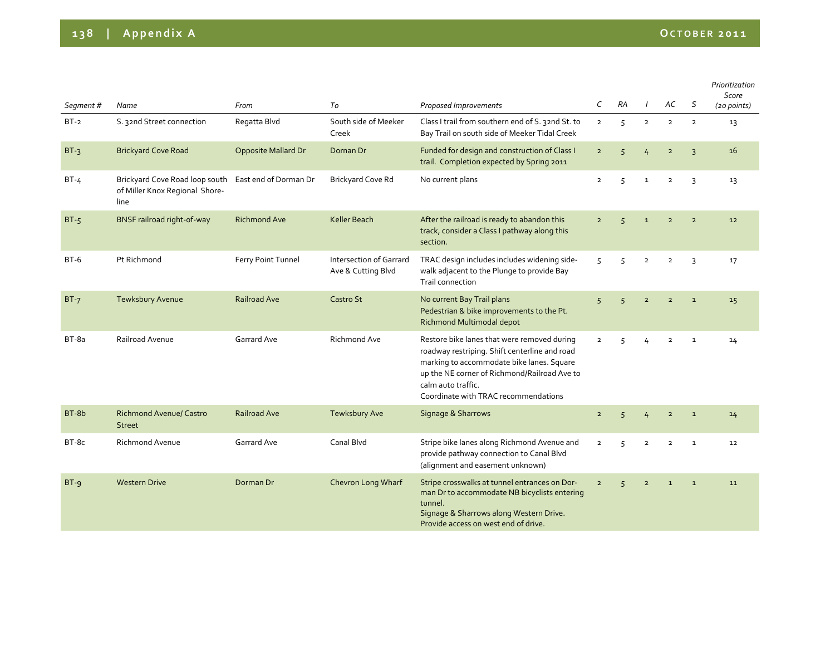## **138 | Appendix <sup>A</sup> OCTOBER <sup>2011</sup>**

|                     |                                                                          | From                       | To                                                   | Proposed Improvements                                                                                                                                                                                                                                   | C              | RA             |                | AC             | S              | Prioritization<br>Score<br>(20 points) |
|---------------------|--------------------------------------------------------------------------|----------------------------|------------------------------------------------------|---------------------------------------------------------------------------------------------------------------------------------------------------------------------------------------------------------------------------------------------------------|----------------|----------------|----------------|----------------|----------------|----------------------------------------|
| Segment #<br>$BT-2$ | Name<br>S. 32nd Street connection                                        | Regatta Blvd               | South side of Meeker<br>Creek                        | Class I trail from southern end of S. 32nd St. to<br>Bay Trail on south side of Meeker Tidal Creek                                                                                                                                                      | $\overline{2}$ | 5              | $\overline{2}$ | $\overline{2}$ | $\overline{2}$ | 13                                     |
| $BT-3$              | <b>Brickyard Cove Road</b>                                               | <b>Opposite Mallard Dr</b> | Dornan Dr                                            | Funded for design and construction of Class I<br>trail. Completion expected by Spring 2011                                                                                                                                                              | $\overline{2}$ | $\overline{5}$ | $\overline{4}$ | $\overline{2}$ | $\overline{3}$ | 16                                     |
| $BT-4$              | Brickyard Cove Road loop south<br>of Miller Knox Regional Shore-<br>line | East end of Dorman Dr      | <b>Brickyard Cove Rd</b>                             | No current plans                                                                                                                                                                                                                                        | $\overline{2}$ | 5              | $\mathbf{1}$   | $\overline{2}$ | 3              | 13                                     |
| $BT-5$              | <b>BNSF railroad right-of-way</b>                                        | <b>Richmond Ave</b>        | Keller Beach                                         | After the railroad is ready to abandon this<br>track, consider a Class I pathway along this<br>section.                                                                                                                                                 | $\overline{2}$ | $\overline{5}$ | $\mathbf{1}$   | $\overline{2}$ | $\overline{2}$ | 12                                     |
| $BT-6$              | Pt Richmond                                                              | Ferry Point Tunnel         | <b>Intersection of Garrard</b><br>Ave & Cutting Blvd | TRAC design includes includes widening side-<br>walk adjacent to the Plunge to provide Bay<br>Trail connection                                                                                                                                          | 5              | 5              | $\overline{2}$ | $\overline{2}$ | 3              | 17                                     |
| $BT-7$              | <b>Tewksbury Avenue</b>                                                  | Railroad Ave               | Castro St                                            | No current Bay Trail plans<br>Pedestrian & bike improvements to the Pt.<br>Richmond Multimodal depot                                                                                                                                                    | 5              | 5              | $\overline{2}$ | $\overline{2}$ | $\mathbf 1$    | 15                                     |
| $BT-8a$             | Railroad Avenue                                                          | Garrard Ave                | <b>Richmond Ave</b>                                  | Restore bike lanes that were removed during<br>roadway restriping. Shift centerline and road<br>marking to accommodate bike lanes. Square<br>up the NE corner of Richmond/Railroad Ave to<br>calm auto traffic.<br>Coordinate with TRAC recommendations | $\overline{2}$ | 5              | 4              | $\overline{2}$ | $\mathbf{1}$   | 14                                     |
| BT-8b               | <b>Richmond Avenue/ Castro</b><br><b>Street</b>                          | Railroad Ave               | <b>Tewksbury Ave</b>                                 | Signage & Sharrows                                                                                                                                                                                                                                      | $\overline{2}$ | 5              | 4              | $\overline{2}$ | $\mathbf 1$    | 14                                     |
| BT-8c               | Richmond Avenue                                                          | Garrard Ave                | Canal Blvd                                           | Stripe bike lanes along Richmond Avenue and<br>provide pathway connection to Canal Blvd<br>(alignment and easement unknown)                                                                                                                             | $\overline{2}$ | 5              | $\overline{2}$ | $\overline{2}$ | $\mathbf 1$    | 12                                     |
| $BT-g$              | <b>Western Drive</b>                                                     | Dorman Dr                  | Chevron Long Wharf                                   | Stripe crosswalks at tunnel entrances on Dor-<br>man Dr to accommodate NB bicyclists entering<br>tunnel.<br>Signage & Sharrows along Western Drive.<br>Provide access on west end of drive.                                                             | $\overline{2}$ | 5 <sup>5</sup> | $\overline{2}$ | $\mathbf{1}$   | $\mathbf{1}$   | 11                                     |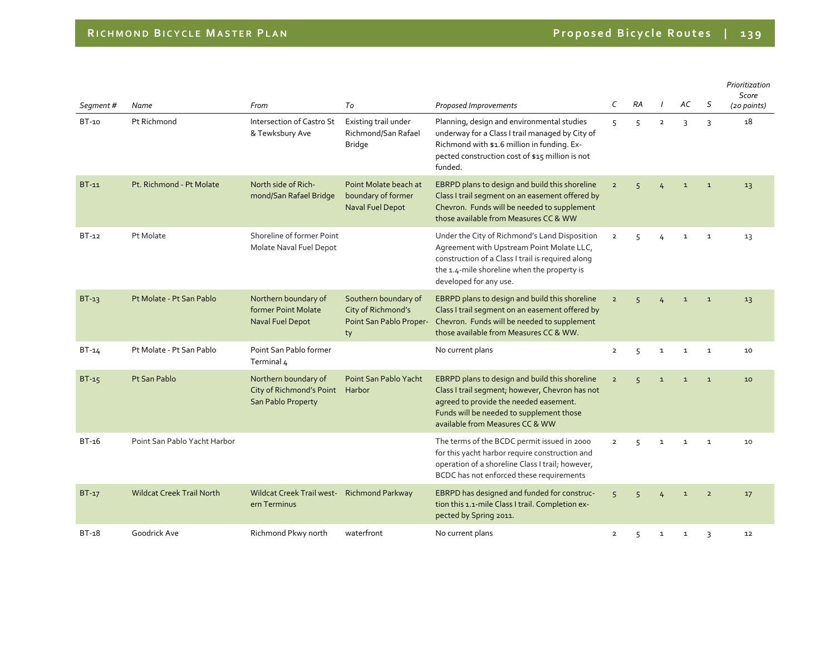| Segment#     | Name                             | From                                                                   | To                                                                          | Proposed Improvements                                                                                                                                                                                                      | C              | RA             |                | AC           | S              | Prioritization<br>Score<br>(20 points) |
|--------------|----------------------------------|------------------------------------------------------------------------|-----------------------------------------------------------------------------|----------------------------------------------------------------------------------------------------------------------------------------------------------------------------------------------------------------------------|----------------|----------------|----------------|--------------|----------------|----------------------------------------|
| $BT-10$      | Pt Richmond                      | Intersection of Castro St<br>& Tewksbury Ave                           | Existing trail under<br>Richmond/San Rafael<br><b>Bridge</b>                | Planning, design and environmental studies<br>underway for a Class I trail managed by City of<br>Richmond with \$1.6 million in funding. Ex-<br>pected construction cost of \$15 million is not<br>funded.                 | 5              | 5              | $\overline{2}$ | 3            | $\overline{3}$ | 18                                     |
| $BT-11$      | Pt. Richmond - Pt Molate         | North side of Rich-<br>mond/San Rafael Bridge                          | Point Molate beach at<br>boundary of former<br>Naval Fuel Depot             | EBRPD plans to design and build this shoreline<br>Class I trail segment on an easement offered by<br>Chevron. Funds will be needed to supplement<br>those available from Measures CC & WW                                  | $\overline{2}$ | 5 <sub>1</sub> | 4              | $\mathbf 1$  | $\mathbf 1$    | 13                                     |
| $BT-12$      | Pt Molate                        | Shoreline of former Point<br>Molate Naval Fuel Depot                   |                                                                             | Under the City of Richmond's Land Disposition<br>Agreement with Upstream Point Molate LLC,<br>construction of a Class I trail is required along<br>the 1.4-mile shoreline when the property is<br>developed for any use.   | $\overline{2}$ | 5              | 4              | $\mathbf{1}$ | 1              | 13                                     |
| $BT-13$      | Pt Molate - Pt San Pablo         | Northern boundary of<br>former Point Molate<br>Naval Fuel Depot        | Southern boundary of<br>City of Richmond's<br>Point San Pablo Proper-<br>ty | EBRPD plans to design and build this shoreline<br>Class I trail segment on an easement offered by<br>Chevron. Funds will be needed to supplement<br>those available from Measures CC & WW.                                 | $\overline{2}$ | $\sqrt{2}$     |                | $\mathbf 1$  | $\mathbf 1$    | 13                                     |
| $BT-14$      | Pt Molate - Pt San Pablo         | Point San Pablo former<br>Terminal 4                                   |                                                                             | No current plans                                                                                                                                                                                                           | $\overline{2}$ | 5              | $\mathbf{1}$   | $\mathbf{1}$ | $\mathbf 1$    | 10                                     |
| <b>BT-15</b> | Pt San Pablo                     | Northern boundary of<br>City of Richmond's Point<br>San Pablo Property | Point San Pablo Yacht<br>Harbor                                             | EBRPD plans to design and build this shoreline<br>Class I trail segment; however, Chevron has not<br>agreed to provide the needed easement.<br>Funds will be needed to supplement those<br>available from Measures CC & WW | $\overline{2}$ | $\overline{5}$ | $\mathbf{1}$   | $\mathbf{1}$ | $\mathbf{1}$   | 10                                     |
| $BT-16$      | Point San Pablo Yacht Harbor     |                                                                        |                                                                             | The terms of the BCDC permit issued in 2000<br>for this yacht harbor require construction and<br>operation of a shoreline Class I trail; however,<br>BCDC has not enforced these requirements                              | $\overline{2}$ | $\overline{5}$ | $\mathbf{1}$   | $\mathbf{1}$ | $\mathbf 1$    | 10                                     |
| $BT-17$      | <b>Wildcat Creek Trail North</b> | Wildcat Creek Trail west- Richmond Parkway<br>ern Terminus             |                                                                             | EBRPD has designed and funded for construc-<br>tion this 1.1-mile Class I trail. Completion ex-<br>pected by Spring 2011.                                                                                                  | 5              | $\sqrt{2}$     |                | $\mathbf{1}$ | $\overline{2}$ | 17                                     |
| $BT-18$      | Goodrick Ave                     | Richmond Pkwy north                                                    | waterfront                                                                  | No current plans                                                                                                                                                                                                           | $\overline{2}$ | 5              | $\mathbf{1}$   | $\mathbf{1}$ | 3              | 12                                     |